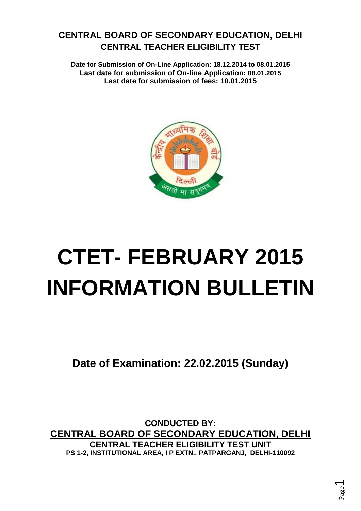# **CENTRAL BOARD OF SECONDARY EDUCATION, DELHI CENTRAL TEACHER ELIGIBILITY TEST**

**Date for Submission of On-Line Application: 18.12.2014 to 08.01.2015 Last date for submission of On-line Application: 08.01.2015 Last date for submission of fees: 10.01.2015**



# **CTET- FEBRUARY 2015 INFORMATION BULLETIN**

**Date of Examination: 22.02.2015 (Sunday)**

**CONDUCTED BY: CENTRAL BOARD OF SECONDARY EDUCATION, DELHI CENTRAL TEACHER ELIGIBILITY TEST UNIT PS 1-2, INSTITUTIONAL AREA, I P EXTN., PATPARGANJ, DELHI-110092**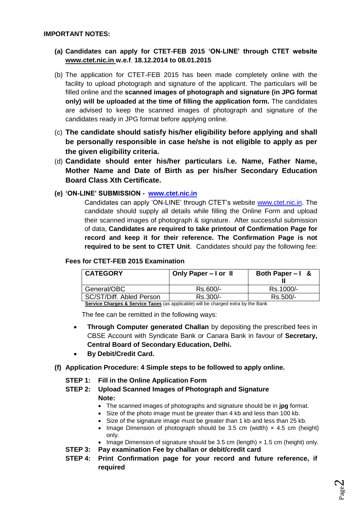- **(a) Candidates can apply for CTET-FEB 2015 'ON-LINE' through CTET website [www.ctet.nic.in](http://www.ctet.nic.in/) w.e.f**. **18.12.2014 to 08.01.2015**
- (b) The application for CTET-FEB 2015 has been made completely online with the facility to upload photograph and signature of the applicant. The particulars will be filled online and the **scanned images of photograph and signature (in JPG format only) will be uploaded at the time of filling the application form.** The candidates are advised to keep the scanned images of photograph and signature of the candidates ready in JPG format before applying online.
- (c) **The candidate should satisfy his/her eligibility before applying and shall be personally responsible in case he/she is not eligible to apply as per the given eligibility criteria.**
- (d) **Candidate should enter his/her particulars i.e. Name, Father Name, Mother Name and Date of Birth as per his/her Secondary Education Board Class Xth Certificate.**
- **(e) 'ON-LINE' SUBMISSION [www.ctet.nic.in](http://www.ctet.nic.in/)**

Candidates can apply 'ON-LINE' through CTET's website [www.ctet.nic.in.](http://www.ctet.nic.in/) The candidate should supply all details while filling the Online Form and upload their scanned images of photograph & signature. After successful submission of data, **Candidates are required to take printout of Confirmation Page for record and keep it for their reference. The Confirmation Page is not required to be sent to CTET Unit**. Candidates should pay the following fee:

#### **Fees for CTET-FEB 2015 Examination**

| <b>CATEGORY</b>          | Only Paper - I or II | Both Paper $-1$ & |
|--------------------------|----------------------|-------------------|
| General/OBC              | Rs.600/-             | Rs.1000/-         |
| SC/ST/Diff. Abled Person | Rs.300/-             | Rs.500/-          |

**Service Charges & Service Taxes** (as applicable) will be charged extra by the Bank

The fee can be remitted in the following ways:

- **Through Computer generated Challan** by depositing the prescribed fees in CBSE Account with Syndicate Bank or Canara Bank in favour of **Secretary, Central Board of Secondary Education, Delhi.**
- **By Debit/Credit Card.**
- **(f) Application Procedure: 4 Simple steps to be followed to apply online.**
	- **STEP 1: Fill in the Online Application Form**

#### **STEP 2: Upload Scanned Images of Photograph and Signature Note:**

- The scanned images of photographs and signature should be in **jpg** format.
- Size of the photo image must be greater than 4 kb and less than 100 kb.
- Size of the signature image must be greater than 1 kb and less than 25 kb.
- Image Dimension of photograph should be 3.5 cm (width)  $\times$  4.5 cm (height) only.
- Image Dimension of signature should be 3.5 cm (length)  $\times$  1.5 cm (height) only.
- **STEP 3: Pay examination Fee by challan or debit/credit card**
- **STEP 4: Print Confirmation page for your record and future reference, if required**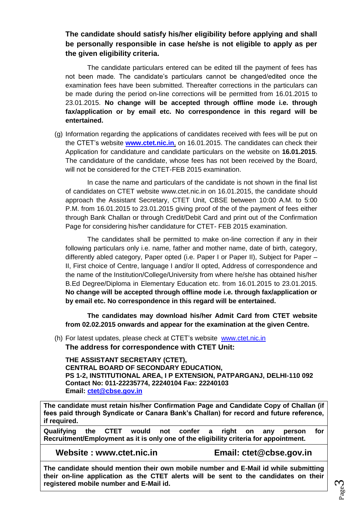# **The candidate should satisfy his/her eligibility before applying and shall be personally responsible in case he/she is not eligible to apply as per the given eligibility criteria.**

The candidate particulars entered can be edited till the payment of fees has not been made. The candidate's particulars cannot be changed/edited once the examination fees have been submitted. Thereafter corrections in the particulars can be made during the period on-line corrections will be permitted from 16.01.2015 to 23.01.2015. **No change will be accepted through offline mode i.e. through fax/application or by email etc. No correspondence in this regard will be entertained.**

(g) Information regarding the applications of candidates received with fees will be put on the CTET's website **[www.ctet.nic.in](http://www.ctet.nic.in/)**, on 16.01.2015. The candidates can check their Application for candidature and candidate particulars on the website on **16.01.2015**. The candidature of the candidate, whose fees has not been received by the Board, will not be considered for the CTET-FEB 2015 examination.

In case the name and particulars of the candidate is not shown in the final list of candidates on CTET website [www.ctet.nic.in](http://www.ctet.nic.in/) on 16.01.2015, the candidate should approach the Assistant Secretary, CTET Unit, CBSE between 10:00 A.M. to 5:00 P.M. from 16.01.2015 to 23.01.2015 giving proof of the of the payment of fees either through Bank Challan or through Credit/Debit Card and print out of the Confirmation Page for considering his/her candidature for CTET- FEB 2015 examination.

The candidates shall be permitted to make on-line correction if any in their following particulars only i.e. name, father and mother name, date of birth, category, differently abled category, Paper opted (i.e. Paper I or Paper II), Subject for Paper – II, First choice of Centre, language I and/or II opted, Address of correspondence and the name of the Institution/College/University from where he/she has obtained his/her B.Ed Degree/Diploma in Elementary Education etc. from 16.01.2015 to 23.01.2015. **No change will be accepted through offline mode i.e. through fax/application or by email etc. No correspondence in this regard will be entertained.**

**The candidates may download his/her Admit Card from CTET website from 02.02.2015 onwards and appear for the examination at the given Centre.** 

(h) For latest updates, please check at CTET's website [www.ctet.nic.in](http://www.ctet.nic.in/) **The address for correspondence with CTET Unit:**

**THE ASSISTANT SECRETARY (CTET), CENTRAL BOARD OF SECONDARY EDUCATION, PS 1-2, INSTITUTIONAL AREA, I P EXTENSION, PATPARGANJ, DELHI-110 092 Contact No: 011-22235774, 22240104 Fax: 22240103 Email: [ctet@cbse.gov.in](mailto:ctet@cbse.gov.in)**

**The candidate must retain his/her Confirmation Page and Candidate Copy of Challan (if fees paid through Syndicate or Canara Bank's Challan) for record and future reference, if required.**

**Qualifying the CTET would not confer a right on any person for Recruitment/Employment as it is only one of the eligibility criteria for appointment.**

**Website : [www.ctet.nic.in](http://www.ctet.nic.in/) Email: ctet@cbse.gov.in**

**The candidate should mention their own mobile number and E-Mail id while submitting their on-line application as the CTET alerts will be sent to the candidates on their registered mobile number and E-Mail id.**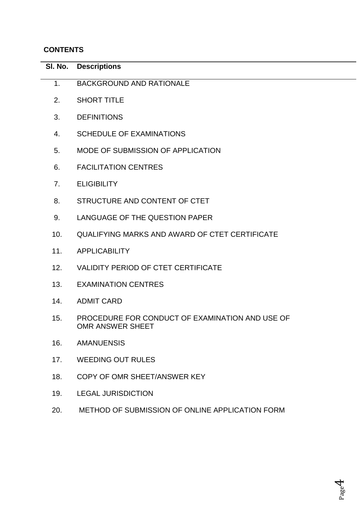# **CONTENTS**

| SI. No.        | <b>Descriptions</b>                                                 |
|----------------|---------------------------------------------------------------------|
| 1 <sub>1</sub> | <b>BACKGROUND AND RATIONALE</b>                                     |
| 2.             | <b>SHORT TITLE</b>                                                  |
| 3.             | <b>DEFINITIONS</b>                                                  |
| 4.             | <b>SCHEDULE OF EXAMINATIONS</b>                                     |
| 5.             | MODE OF SUBMISSION OF APPLICATION                                   |
| 6.             | <b>FACILITATION CENTRES</b>                                         |
| 7.             | <b>ELIGIBILITY</b>                                                  |
| 8.             | STRUCTURE AND CONTENT OF CTET                                       |
| 9.             | LANGUAGE OF THE QUESTION PAPER                                      |
| 10.            | <b>QUALIFYING MARKS AND AWARD OF CTET CERTIFICATE</b>               |
| 11.            | <b>APPLICABILITY</b>                                                |
| 12.            | <b>VALIDITY PERIOD OF CTET CERTIFICATE</b>                          |
| 13.            | <b>EXAMINATION CENTRES</b>                                          |
| 14.            | <b>ADMIT CARD</b>                                                   |
| 15.            | PROCEDURE FOR CONDUCT OF EXAMINATION AND USE OF<br>OMR ANSWER SHEET |
| 16.            | <b>AMANUENSIS</b>                                                   |
| 17.            | <b>WEEDING OUT RULES</b>                                            |
| 18.            | COPY OF OMR SHEET/ANSWER KEY                                        |
| 19.            | <b>LEGAL JURISDICTION</b>                                           |
| 20.            | METHOD OF SUBMISSION OF ONLINE APPLICATION FORM                     |
|                |                                                                     |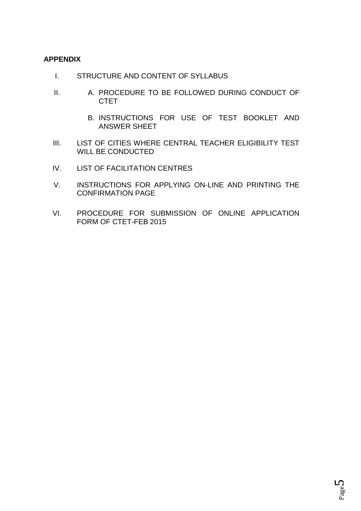## **APPENDIX**

- I. STRUCTURE AND CONTENT OF SYLLABUS
- II. A. PROCEDURE TO BE FOLLOWED DURING CONDUCT OF **CTET** 
	- B. INSTRUCTIONS FOR USE OF TEST BOOKLET AND ANSWER SHEET
- III. LIST OF CITIES WHERE CENTRAL TEACHER ELIGIBILITY TEST WILL BE CONDUCTED
- IV. LIST OF FACILITATION CENTRES
- V. INSTRUCTIONS FOR APPLYING ON-LINE AND PRINTING THE CONFIRMATION PAGE
- VI. PROCEDURE FOR SUBMISSION OF ONLINE APPLICATION FORM OF CTET-FEB 2015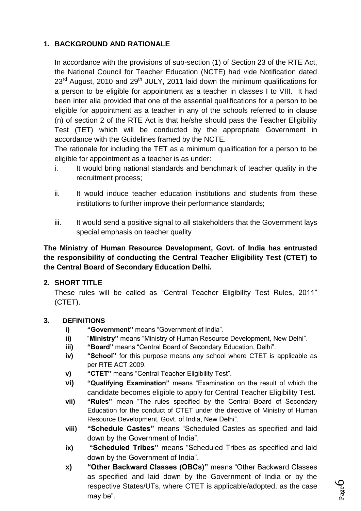# **1. BACKGROUND AND RATIONALE**

In accordance with the provisions of sub-section (1) of Section 23 of the RTE Act, the National Council for Teacher Education (NCTE) had vide Notification dated  $23<sup>rd</sup>$  August, 2010 and 29<sup>th</sup> JULY, 2011 laid down the minimum qualifications for a person to be eligible for appointment as a teacher in classes I to VIII. It had been inter alia provided that one of the essential qualifications for a person to be eligible for appointment as a teacher in any of the schools referred to in clause (n) of section 2 of the RTE Act is that he/she should pass the Teacher Eligibility Test (TET) which will be conducted by the appropriate Government in accordance with the Guidelines framed by the NCTE.

The rationale for including the TET as a minimum qualification for a person to be eligible for appointment as a teacher is as under:

- i. It would bring national standards and benchmark of teacher quality in the recruitment process;
- ii. It would induce teacher education institutions and students from these institutions to further improve their performance standards;
- iii. It would send a positive signal to all stakeholders that the Government lays special emphasis on teacher quality

# **The Ministry of Human Resource Development, Govt. of India has entrusted the responsibility of conducting the Central Teacher Eligibility Test (CTET) to the Central Board of Secondary Education Delhi.**

# **2. SHORT TITLE**

These rules will be called as "Central Teacher Eligibility Test Rules, 2011" (CTET).

# **3. DEFINITIONS**

- **i) "Government"** means "Government of India".
- **ii)** "**Ministry"** means "Ministry of Human Resource Development, New Delhi".
- **iii) "Board"** means "Central Board of Secondary Education, Delhi".
- **iv) "School"** for this purpose means any school where CTET is applicable as per RTE ACT 2009.
- **v) "CTET"** means "Central Teacher Eligibility Test".
- **vi) "Qualifying Examination"** means "Examination on the result of which the candidate becomes eligible to apply for Central Teacher Eligibility Test.
- **vii) "Rules"** mean "The rules specified by the Central Board of Secondary Education for the conduct of CTET under the directive of Ministry of Human Resource Development, Govt. of India, New Delhi".
- **viii) "Schedule Castes"** means "Scheduled Castes as specified and laid down by the Government of India".
- **ix) "Scheduled Tribes"** means "Scheduled Tribes as specified and laid down by the Government of India".
- **x) "Other Backward Classes (OBCs)"** means "Other Backward Classes as specified and laid down by the Government of India or by the respective States/UTs, where CTET is applicable/adopted, as the case may be".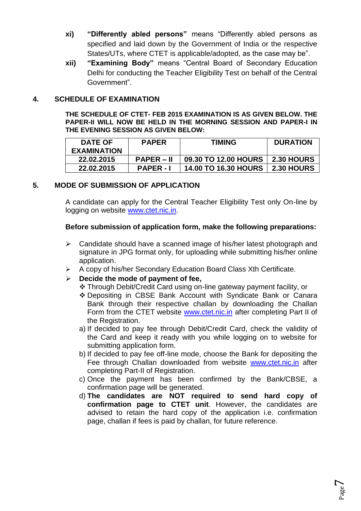- **xi) "Differently abled persons"** means "Differently abled persons as specified and laid down by the Government of India or the respective States/UTs, where CTET is applicable/adopted, as the case may be".
- **xii) "Examining Body"** means "Central Board of Secondary Education Delhi for conducting the Teacher Eligibility Test on behalf of the Central Government".

## **4. SCHEDULE OF EXAMINATION**

**THE SCHEDULE OF CTET- FEB 2015 EXAMINATION IS AS GIVEN BELOW. THE PAPER-II WILL NOW BE HELD IN THE MORNING SESSION AND PAPER-I IN THE EVENING SESSION AS GIVEN BELOW:**

| <b>DATE OF</b><br><b>EXAMINATION</b> | <b>PAPER</b>   | <b>TIMING</b>               | <b>DURATION</b> |
|--------------------------------------|----------------|-----------------------------|-----------------|
| 22.02.2015                           | $PAPER - II$   | 09.30 TO 12.00 HOURS        | 2.30 HOURS      |
| 22.02.2015                           | <b>PAPER-I</b> | <b>14.00 TO 16.30 HOURS</b> | 2.30 HOURS      |

# **5. MODE OF SUBMISSION OF APPLICATION**

A candidate can apply for the Central Teacher Eligibility Test only On-line by logging on website [www.ctet.nic.in.](http://www.ctet.nic.in/)

#### **Before submission of application form, make the following preparations:**

- $\triangleright$  Candidate should have a scanned image of his/her latest photograph and signature in JPG format only, for uploading while submitting his/her online application.
- $\triangleright$  A copy of his/her Secondary Education Board Class Xth Certificate.
- **Decide the mode of payment of fee,**
	- Through Debit/Credit Card using on-line gateway payment facility, or
	- Depositing in CBSE Bank Account with Syndicate Bank or Canara Bank through their respective challan by downloading the Challan Form from the CTET website [www.ctet.nic.in](http://www.ctet.nic.in/) after completing Part II of the Registration.
	- a) If decided to pay fee through Debit/Credit Card, check the validity of the Card and keep it ready with you while logging on to website for submitting application form.
	- b) If decided to pay fee off-line mode, choose the Bank for depositing the Fee through Challan downloaded from website [www.ctet.nic.in](http://www.ctet.nic.in/) after completing Part-II of Registration.
	- c) Once the payment has been confirmed by the Bank/CBSE, a confirmation page will be generated.
	- d) **The candidates are NOT required to send hard copy of confirmation page to CTET unit**. However, the candidates are advised to retain the hard copy of the application i.e. confirmation page, challan if fees is paid by challan, for future reference.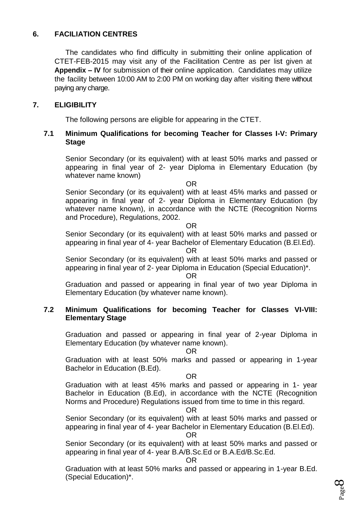# **6. FACILIATION CENTRES**

The candidates who find difficulty in submitting their online application of CTET-FEB-2015 may visit any of the Facilitation Centre as per list given at **Appendix – IV** for submission of their online application. Candidates may utilize the facility between 10:00 AM to 2:00 PM on working day after visiting there without paying any charge.

## **7. ELIGIBILITY**

The following persons are eligible for appearing in the CTET.

## **7.1 Minimum Qualifications for becoming Teacher for Classes I-V: Primary Stage**

Senior Secondary (or its equivalent) with at least 50% marks and passed or appearing in final year of 2- year Diploma in Elementary Education (by whatever name known)

OR

Senior Secondary (or its equivalent) with at least 45% marks and passed or appearing in final year of 2- year Diploma in Elementary Education (by whatever name known), in accordance with the NCTE (Recognition Norms and Procedure), Regulations, 2002.

OR

Senior Secondary (or its equivalent) with at least 50% marks and passed or appearing in final year of 4- year Bachelor of Elementary Education (B.El.Ed).

OR

Senior Secondary (or its equivalent) with at least 50% marks and passed or appearing in final year of 2- year Diploma in Education (Special Education)\*.

OR

Graduation and passed or appearing in final year of two year Diploma in Elementary Education (by whatever name known).

#### **7.2 Minimum Qualifications for becoming Teacher for Classes VI-VIII: Elementary Stage**

Graduation and passed or appearing in final year of 2-year Diploma in Elementary Education (by whatever name known).

OR

Graduation with at least 50% marks and passed or appearing in 1-year Bachelor in Education (B.Ed).

OR

Graduation with at least 45% marks and passed or appearing in 1- year Bachelor in Education (B.Ed), in accordance with the NCTE (Recognition Norms and Procedure) Regulations issued from time to time in this regard.

#### OR

Senior Secondary (or its equivalent) with at least 50% marks and passed or appearing in final year of 4- year Bachelor in Elementary Education (B.El.Ed).

#### OR

Senior Secondary (or its equivalent) with at least 50% marks and passed or appearing in final year of 4- year B.A/B.Sc.Ed or B.A.Ed/B.Sc.Ed.

OR

Graduation with at least 50% marks and passed or appearing in 1-year B.Ed. (Special Education)\*.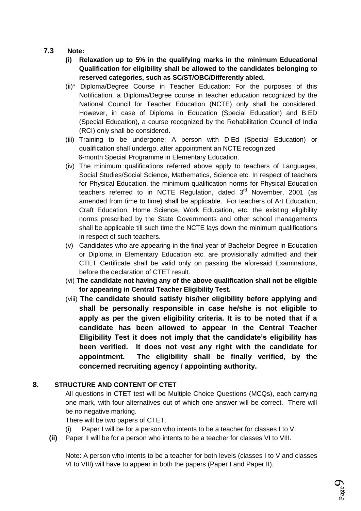- **7.3 Note:** 
	- **(i) Relaxation up to 5% in the qualifying marks in the minimum Educational Qualification for eligibility shall be allowed to the candidates belonging to reserved categories, such as SC/ST/OBC/Differently abled.**
	- (ii)\* Diploma/Degree Course in Teacher Education: For the purposes of this Notification, a Diploma/Degree course in teacher education recognized by the National Council for Teacher Education (NCTE) only shall be considered. However, in case of Diploma in Education (Special Education) and B.ED (Special Education), a course recognized by the Rehabilitation Council of India (RCI) only shall be considered.
	- (iii) Training to be undergone: A person with D.Ed (Special Education) or qualification shall undergo, after appointment an NCTE recognized 6-month Special Programme in Elementary Education.
	- (iv) The minimum qualifications referred above apply to teachers of Languages, Social Studies/Social Science, Mathematics, Science etc. In respect of teachers for Physical Education, the minimum qualification norms for Physical Education teachers referred to in NCTE Regulation, dated 3<sup>rd</sup> November, 2001 (as amended from time to time) shall be applicable. For teachers of Art Education, Craft Education, Home Science, Work Education, etc. the existing eligibility norms prescribed by the State Governments and other school managements shall be applicable till such time the NCTE lays down the minimum qualifications in respect of such teachers.
	- (v) Candidates who are appearing in the final year of Bachelor Degree in Education or Diploma in Elementary Education etc. are provisionally admitted and their CTET Certificate shall be valid only on passing the aforesaid Examinations, before the declaration of CTET result.
	- (vi) **The candidate not having any of the above qualification shall not be eligible for appearing in Central Teacher Eligibility Test.**
	- (viii) **The candidate should satisfy his/her eligibility before applying and shall be personally responsible in case he/she is not eligible to apply as per the given eligibility criteria. It is to be noted that if a candidate has been allowed to appear in the Central Teacher Eligibility Test it does not imply that the candidate's eligibility has been verified. It does not vest any right with the candidate for appointment. The eligibility shall be finally verified, by the concerned recruiting agency / appointing authority.**

#### **8. STRUCTURE AND CONTENT OF CTET**

All questions in CTET test will be Multiple Choice Questions (MCQs), each carrying one mark, with four alternatives out of which one answer will be correct. There will be no negative marking.

There will be two papers of CTET.

- Paper I will be for a person who intents to be a teacher for classes I to V.
- **(ii)** Paper II will be for a person who intents to be a teacher for classes VI to VIII.

Note: A person who intents to be a teacher for both levels (classes I to V and classes VI to VIII) will have to appear in both the papers (Paper I and Paper II).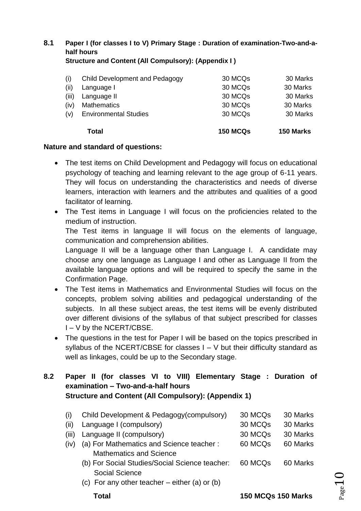**8.1 Paper I (for classes I to V) Primary Stage : Duration of examination-Two-and-ahalf hours Structure and Content (All Compulsory): (Appendix I )**

|       | Total                          | <b>150 MCQs</b> | 150 Marks |
|-------|--------------------------------|-----------------|-----------|
| (v)   | <b>Environmental Studies</b>   | 30 MCQs         | 30 Marks  |
| (iv)  | <b>Mathematics</b>             | 30 MCQs         | 30 Marks  |
| (iii) | Language II                    | 30 MCQs         | 30 Marks  |
| (ii)  | Language I                     | 30 MCQs         | 30 Marks  |
| (i)   | Child Development and Pedagogy | 30 MCQs         | 30 Marks  |
|       |                                |                 |           |

#### **Nature and standard of questions:**

- The test items on Child Development and Pedagogy will focus on educational psychology of teaching and learning relevant to the age group of 6-11 years. They will focus on understanding the characteristics and needs of diverse learners, interaction with learners and the attributes and qualities of a good facilitator of learning.
- The Test items in Language I will focus on the proficiencies related to the medium of instruction. The Test items in language II will focus on the elements of language, communication and comprehension abilities. Language II will be a language other than Language I. A candidate may choose any one language as Language I and other as Language II from the
- available language options and will be required to specify the same in the Confirmation Page. The Test items in Mathematics and Environmental Studies will focus on the concepts, problem solving abilities and pedagogical understanding of the subjects. In all these subject areas, the test items will be evenly distributed
- over different divisions of the syllabus of that subject prescribed for classes I – V by the NCERT/CBSE. • The questions in the test for Paper I will be based on the topics prescribed in
- syllabus of the NCERT/CBSE for classes  $I V$  but their difficulty standard as well as linkages, could be up to the Secondary stage.

# **8.2 Paper II (for classes VI to VIII) Elementary Stage : Duration of examination – Two-and-a-half hours Structure and Content (All Compulsory): (Appendix 1)**

| (i)   | Child Development & Pedagogy(compulsory)       | 30 MCQs             | 30 Marks |
|-------|------------------------------------------------|---------------------|----------|
| (ii)  | Language I (compulsory)                        | 30 MCQs             | 30 Marks |
| (iii) | Language II (compulsory)                       | 30 MCQ <sub>s</sub> | 30 Marks |
| (iv)  | (a) For Mathematics and Science teacher:       | 60 MCQs             | 60 Marks |
|       | <b>Mathematics and Science</b>                 |                     |          |
|       | (b) For Social Studies/Social Science teacher: | 60 MCQ <sub>s</sub> | 60 Marks |
|       | <b>Social Science</b>                          |                     |          |
|       | (c) For any other teacher – either (a) or (b)  |                     |          |

 **Total 150 MCQs 150 Marks**

 $_{\rm Page}10$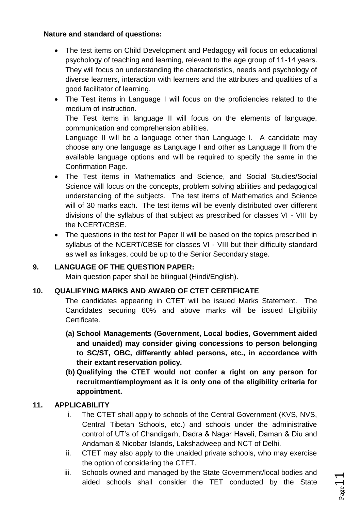# **Nature and standard of questions:**

- The test items on Child Development and Pedagogy will focus on educational psychology of teaching and learning, relevant to the age group of 11-14 years. They will focus on understanding the characteristics, needs and psychology of diverse learners, interaction with learners and the attributes and qualities of a good facilitator of learning.
- The Test items in Language I will focus on the proficiencies related to the medium of instruction.

The Test items in language II will focus on the elements of language, communication and comprehension abilities.

Language II will be a language other than Language I. A candidate may choose any one language as Language I and other as Language II from the available language options and will be required to specify the same in the Confirmation Page.

- The Test items in Mathematics and Science, and Social Studies/Social Science will focus on the concepts, problem solving abilities and pedagogical understanding of the subjects. The test items of Mathematics and Science will of 30 marks each. The test items will be evenly distributed over different divisions of the syllabus of that subject as prescribed for classes VI - VIII by the NCERT/CBSE.
- The questions in the test for Paper II will be based on the topics prescribed in syllabus of the NCERT/CBSE for classes VI - VIII but their difficulty standard as well as linkages, could be up to the Senior Secondary stage.

# **9. LANGUAGE OF THE QUESTION PAPER:**

Main question paper shall be bilingual (Hindi/English).

# **10. QUALIFYING MARKS AND AWARD OF CTET CERTIFICATE**

The candidates appearing in CTET will be issued Marks Statement. The Candidates securing 60% and above marks will be issued Eligibility Certificate.

- **(a) School Managements (Government, Local bodies, Government aided and unaided) may consider giving concessions to person belonging to SC/ST, OBC, differently abled persons, etc., in accordance with their extant reservation policy.**
- **(b) Qualifying the CTET would not confer a right on any person for recruitment/employment as it is only one of the eligibility criteria for appointment.**

# **11. APPLICABILITY**

- i. The CTET shall apply to schools of the Central Government (KVS, NVS, Central Tibetan Schools, etc.) and schools under the administrative control of UT's of Chandigarh, Dadra & Nagar Haveli, Daman & Diu and Andaman & Nicobar Islands, Lakshadweep and NCT of Delhi.
- ii. CTET may also apply to the unaided private schools, who may exercise the option of considering the CTET.
- iii. Schools owned and managed by the State Government/local bodies and aided schools shall consider the TET conducted by the State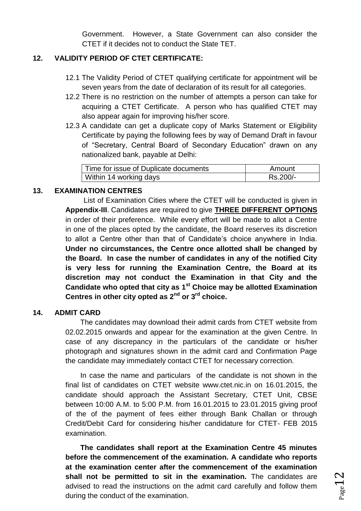Government. However, a State Government can also consider the CTET if it decides not to conduct the State TET.

## **12. VALIDITY PERIOD OF CTET CERTIFICATE:**

- 12.1 The Validity Period of CTET qualifying certificate for appointment will be seven years from the date of declaration of its result for all categories.
- 12.2 There is no restriction on the number of attempts a person can take for acquiring a CTET Certificate. A person who has qualified CTET may also appear again for improving his/her score.
- 12.3 A candidate can get a duplicate copy of Marks Statement or Eligibility Certificate by paying the following fees by way of Demand Draft in favour of "Secretary, Central Board of Secondary Education" drawn on any nationalized bank, payable at Delhi:

| Time for issue of Duplicate documents | Amount   |
|---------------------------------------|----------|
| Within 14 working days                | Rs.200/- |

## **13. EXAMINATION CENTRES**

List of Examination Cities where the CTET will be conducted is given in **Appendix-III**. Candidates are required to give **THREE DIFFERENT OPTIONS** in order of their preference. While every effort will be made to allot a Centre in one of the places opted by the candidate, the Board reserves its discretion to allot a Centre other than that of Candidate's choice anywhere in India. **Under no circumstances, the Centre once allotted shall be changed by the Board. In case the number of candidates in any of the notified City is very less for running the Examination Centre, the Board at its discretion may not conduct the Examination in that City and the Candidate who opted that city as 1st Choice may be allotted Examination Centres in other city opted as 2nd or 3rd choice.**

#### **14. ADMIT CARD**

The candidates may download their admit cards from CTET website from 02.02.2015 onwards and appear for the examination at the given Centre. In case of any discrepancy in the particulars of the candidate or his/her photograph and signatures shown in the admit card and Confirmation Page the candidate may immediately contact CTET for necessary correction.

In case the name and particulars of the candidate is not shown in the final list of candidates on CTET website [www.ctet.nic.in](http://www.ctet.nic.in/) on 16.01.2015, the candidate should approach the Assistant Secretary, CTET Unit, CBSE between 10:00 A.M. to 5:00 P.M. from 16.01.2015 to 23.01.2015 giving proof of the of the payment of fees either through Bank Challan or through Credit/Debit Card for considering his/her candidature for CTET- FEB 2015 examination.

**The candidates shall report at the Examination Centre 45 minutes before the commencement of the examination. A candidate who reports at the examination center after the commencement of the examination shall not be permitted to sit in the examination.** The candidates are advised to read the instructions on the admit card carefully and follow them during the conduct of the examination.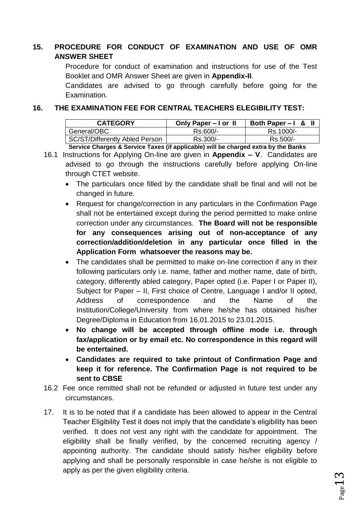# **15. PROCEDURE FOR CONDUCT OF EXAMINATION AND USE OF OMR ANSWER SHEET**

Procedure for conduct of examination and instructions for use of the Test Booklet and OMR Answer Sheet are given in **Appendix-II**.

Candidates are advised to go through carefully before going for the Examination.

## **16. THE EXAMINATION FEE FOR CENTRAL TEACHERS ELEGIBILITY TEST:**

| <b>CATEGORY</b>                | Only Paper – I or II | Both Paper $-1$ & |
|--------------------------------|----------------------|-------------------|
| General/OBC                    | Rs.600/-             | Rs.1000/-         |
| SC/ST/Differently Abled Person | Rs.300/-             | Rs.500/-          |
| .<br>- -                       |                      |                   |

**Service Charges & Service Taxes (if applicable) will be charged extra by the Banks** 16.1 Instructions for Applying On-line are given in **Appendix – V**. Candidates are advised to go through the instructions carefully before applying On-line

through CTET website.

- The particulars once filled by the candidate shall be final and will not be changed in future.
- Request for change/correction in any particulars in the Confirmation Page shall not be entertained except during the period permitted to make online correction under any circumstances. **The Board will not be responsible for any consequences arising out of non-acceptance of any correction/addition/deletion in any particular once filled in the Application Form whatsoever the reasons may be.**
- The candidates shall be permitted to make on-line correction if any in their following particulars only i.e. name, father and mother name, date of birth, category, differently abled category, Paper opted (i.e. Paper I or Paper II), Subject for Paper – II, First choice of Centre, Language I and/or II opted, Address of correspondence and the Name of the Institution/College/University from where he/she has obtained his/her Degree/Diploma in Education from 16.01.2015 to 23.01.2015.
- **No change will be accepted through offline mode i.e. through fax/application or by email etc. No correspondence in this regard will be entertained.**
- **Candidates are required to take printout of Confirmation Page and keep it for reference. The Confirmation Page is not required to be sent to CBSE**
- 16.2 Fee once remitted shall not be refunded or adjusted in future test under any circumstances.
- 17. It is to be noted that if a candidate has been allowed to appear in the Central Teacher Eligibility Test it does not imply that the candidate's eligibility has been verified. It does not vest any right with the candidate for appointment. The eligibility shall be finally verified, by the concerned recruiting agency / appointing authority. The candidate should satisfy his/her eligibility before applying and shall be personally responsible in case he/she is not eligible to apply as per the given eligibility criteria.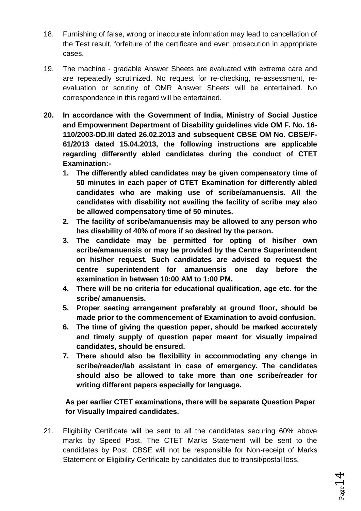- 18. Furnishing of false, wrong or inaccurate information may lead to cancellation of the Test result, forfeiture of the certificate and even prosecution in appropriate cases.
- 19. The machine gradable Answer Sheets are evaluated with extreme care and are repeatedly scrutinized. No request for re-checking, re-assessment, reevaluation or scrutiny of OMR Answer Sheets will be entertained. No correspondence in this regard will be entertained.
- **20. In accordance with the Government of India, Ministry of Social Justice and Empowerment Department of Disability guidelines vide OM F. No. 16- 110/2003-DD.III dated 26.02.2013 and subsequent CBSE OM No. CBSE/F-61/2013 dated 15.04.2013, the following instructions are applicable regarding differently abled candidates during the conduct of CTET Examination:-**
	- **1. The differently abled candidates may be given compensatory time of 50 minutes in each paper of CTET Examination for differently abled candidates who are making use of scribe/amanuensis. All the candidates with disability not availing the facility of scribe may also be allowed compensatory time of 50 minutes.**
	- **2. The facility of scribe/amanuensis may be allowed to any person who has disability of 40% of more if so desired by the person.**
	- **3. The candidate may be permitted for opting of his/her own scribe/amanuensis or may be provided by the Centre Superintendent on his/her request. Such candidates are advised to request the centre superintendent for amanuensis one day before the examination in between 10:00 AM to 1:00 PM.**
	- **4. There will be no criteria for educational qualification, age etc. for the scribe/ amanuensis.**
	- **5. Proper seating arrangement preferably at ground floor, should be made prior to the commencement of Examination to avoid confusion.**
	- **6. The time of giving the question paper, should be marked accurately and timely supply of question paper meant for visually impaired candidates, should be ensured.**
	- **7. There should also be flexibility in accommodating any change in scribe/reader/lab assistant in case of emergency. The candidates should also be allowed to take more than one scribe/reader for writing different papers especially for language.**

# **As per earlier CTET examinations, there will be separate Question Paper for Visually Impaired candidates.**

21. Eligibility Certificate will be sent to all the candidates securing 60% above marks by Speed Post. The CTET Marks Statement will be sent to the candidates by Post. CBSE will not be responsible for Non-receipt of Marks Statement or Eligibility Certificate by candidates due to transit/postal loss.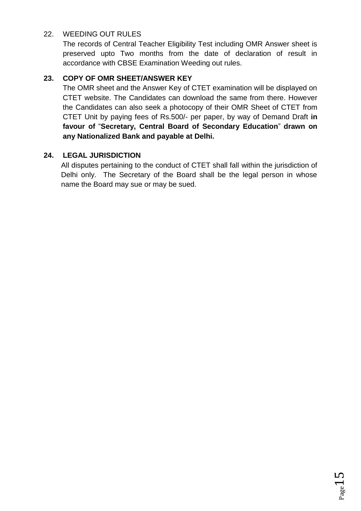# 22. WEEDING OUT RULES

The records of Central Teacher Eligibility Test including OMR Answer sheet is preserved upto Two months from the date of declaration of result in accordance with CBSE Examination Weeding out rules.

# **23. COPY OF OMR SHEET/ANSWER KEY**

The OMR sheet and the Answer Key of CTET examination will be displayed on CTET website. The Candidates can download the same from there. However the Candidates can also seek a photocopy of their OMR Sheet of CTET from CTET Unit by paying fees of Rs.500/- per paper, by way of Demand Draft **in favour of** "**Secretary, Central Board of Secondary Education**" **drawn on any Nationalized Bank and payable at Delhi.**

# **24. LEGAL JURISDICTION**

All disputes pertaining to the conduct of CTET shall fall within the jurisdiction of Delhi only. The Secretary of the Board shall be the legal person in whose name the Board may sue or may be sued.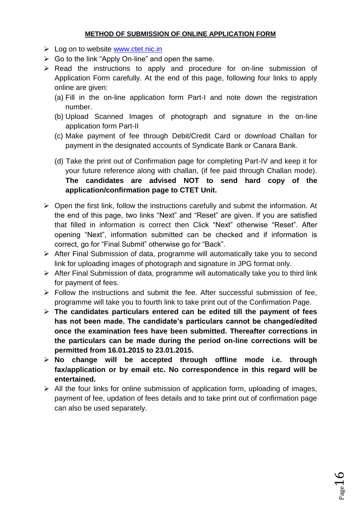## **METHOD OF SUBMISSION OF ONLINE APPLICATION FORM**

- $\triangleright$  Log on to website [www.ctet.nic.in](http://www.ctet.nic.in/)
- $\triangleright$  Go to the link "Apply On-line" and open the same.
- $\triangleright$  Read the instructions to apply and procedure for on-line submission of Application Form carefully. At the end of this page, following four links to apply online are given:
	- (a) Fill in the on-line application form Part-I and note down the registration number.
	- (b) Upload Scanned Images of photograph and signature in the on-line application form Part-II
	- (c) Make payment of fee through Debit/Credit Card or download Challan for payment in the designated accounts of Syndicate Bank or Canara Bank.
	- (d) Take the print out of Confirmation page for completing Part-IV and keep it for your future reference along with challan, (if fee paid through Challan mode). **The candidates are advised NOT to send hard copy of the application/confirmation page to CTET Unit.**
- $\triangleright$  Open the first link, follow the instructions carefully and submit the information. At the end of this page, two links "Next" and "Reset" are given. If you are satisfied that filled in information is correct then Click "Next" otherwise "Reset". After opening "Next", information submitted can be checked and if information is correct, go for "Final Submit" otherwise go for "Back".
- After Final Submission of data, programme will automatically take you to second link for uploading images of photograph and signature in JPG format only.
- After Final Submission of data, programme will automatically take you to third link for payment of fees.
- $\triangleright$  Follow the instructions and submit the fee. After successful submission of fee, programme will take you to fourth link to take print out of the Confirmation Page.
- **The candidates particulars entered can be edited till the payment of fees has not been made. The candidate's particulars cannot be changed/edited once the examination fees have been submitted. Thereafter corrections in the particulars can be made during the period on-line corrections will be permitted from 16.01.2015 to 23.01.2015.**
- **No change will be accepted through offline mode i.e. through fax/application or by email etc. No correspondence in this regard will be entertained.**
- $\triangleright$  All the four links for online submission of application form, uploading of images, payment of fee, updation of fees details and to take print out of confirmation page can also be used separately.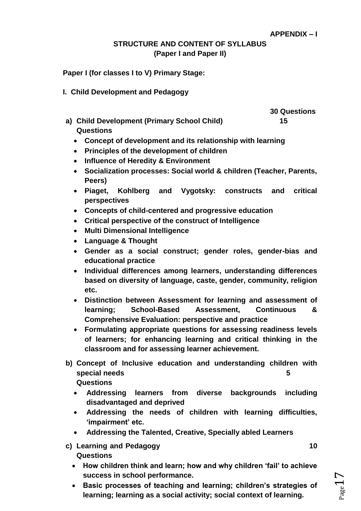# **STRUCTURE AND CONTENT OF SYLLABUS (Paper I and Paper II)**

**Paper I (for classes I to V) Primary Stage:**

**I. Child Development and Pedagogy**

 **30 Questions**

- **a) Child Development (Primary School Child) 15 Questions**
	- **Concept of development and its relationship with learning**
	- **Principles of the development of children**
	- **Influence of Heredity & Environment**
	- **Socialization processes: Social world & children (Teacher, Parents, Peers)**
	- **Piaget, Kohlberg and Vygotsky: constructs and critical perspectives**
	- **Concepts of child-centered and progressive education**
	- **Critical perspective of the construct of Intelligence**
	- **Multi Dimensional Intelligence**
	- **Language & Thought**
	- **Gender as a social construct; gender roles, gender-bias and educational practice**
	- **Individual differences among learners, understanding differences based on diversity of language, caste, gender, community, religion etc.**
	- **Distinction between Assessment for learning and assessment of learning; School-Based Assessment, Continuous & Comprehensive Evaluation: perspective and practice**
	- **Formulating appropriate questions for assessing readiness levels of learners; for enhancing learning and critical thinking in the classroom and for assessing learner achievement.**
- **b) Concept of Inclusive education and understanding children with special needs 5** 
	- **Questions**
	- **Addressing learners from diverse backgrounds including disadvantaged and deprived**
	- **Addressing the needs of children with learning difficulties, 'impairment' etc.**
	- **Addressing the Talented, Creative, Specially abled Learners**
- **c)** Learning and Pedagogy 10 **Questions**
	- **How children think and learn; how and why children 'fail' to achieve success in school performance.**
	- **Basic processes of teaching and learning; children's strategies of learning; learning as a social activity; social context of learning.**

 $P_{\text{age}}1$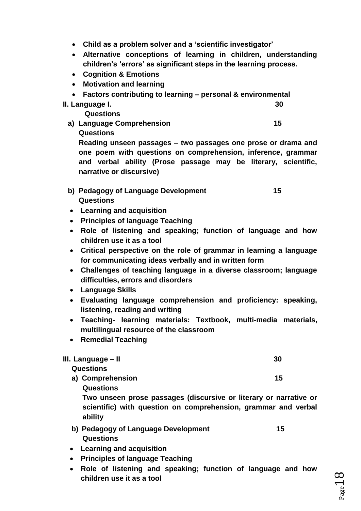- **Child as a problem solver and a 'scientific investigator'**
- **Alternative conceptions of learning in children, understanding children's 'errors' as significant steps in the learning process.**
- **Cognition & Emotions**
- **Motivation and learning**
- **Factors contributing to learning – personal & environmental**
- **II. Language I. 30**

**Questions**

a) Language Comprehension **15 Questions**

**Reading unseen passages – two passages one prose or drama and one poem with questions on comprehension, inference, grammar and verbal ability (Prose passage may be literary, scientific, narrative or discursive)**

- **b) Pedagogy of Language Development 15 Questions**
- **Learning and acquisition**
- **Principles of language Teaching**
- **Role of listening and speaking; function of language and how children use it as a tool**
- **Critical perspective on the role of grammar in learning a language for communicating ideas verbally and in written form**
- **Challenges of teaching language in a diverse classroom; language difficulties, errors and disorders**
- **Language Skills**
- **Evaluating language comprehension and proficiency: speaking, listening, reading and writing**
- **Teaching- learning materials: Textbook, multi-media materials, multilingual resource of the classroom**
- **Remedial Teaching**

#### **III. Language – II 30**

#### **Questions**

**a) Comprehension** 15

**Questions**

**Two unseen prose passages (discursive or literary or narrative or scientific) with question on comprehension, grammar and verbal ability**

- **b) Pedagogy of Language Development 15 Questions**
- **Learning and acquisition**
- **Principles of language Teaching**
- **Role of listening and speaking; function of language and how children use it as a tool**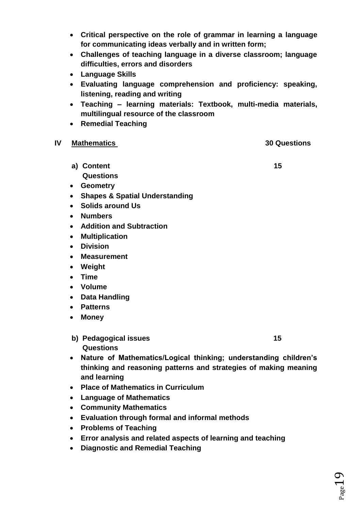- **Critical perspective on the role of grammar in learning a language for communicating ideas verbally and in written form;**
- **Challenges of teaching language in a diverse classroom; language difficulties, errors and disorders**
- **Language Skills**
- **Evaluating language comprehension and proficiency: speaking, listening, reading and writing**
- **Teaching – learning materials: Textbook, multi-media materials, multilingual resource of the classroom**
- **•** Remedial Teaching

# **IV Mathematics 30 Questions**

- **a) Content 15 Questions**
- **Geometry**
- **Shapes & Spatial Understanding**
- **Solids around Us**
- **Numbers**
- **Addition and Subtraction**
- **Multiplication**
- **Division**
- **Measurement**
- **Weight**
- **Time**
- **Volume**
- **Data Handling**
- **Patterns**
- **Money**
- **b)** Pedagogical issues 15 **Questions**
- **Nature of Mathematics/Logical thinking; understanding children's thinking and reasoning patterns and strategies of making meaning and learning**
- **Place of Mathematics in Curriculum**
- **Language of Mathematics**
- **Community Mathematics**
- **Evaluation through formal and informal methods**
- **Problems of Teaching**
- **Error analysis and related aspects of learning and teaching**
- **Diagnostic and Remedial Teaching**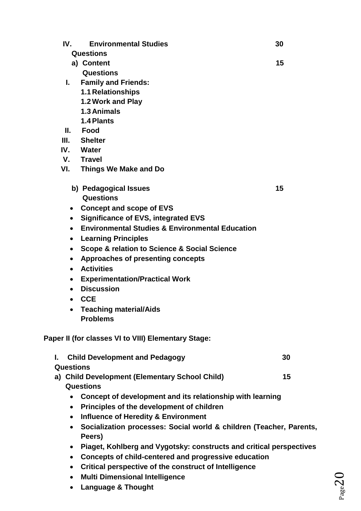| IV.              | <b>Environmental Studies</b>                                        | 30 |
|------------------|---------------------------------------------------------------------|----|
|                  | <b>Questions</b>                                                    |    |
|                  | a) Content                                                          | 15 |
|                  | Questions                                                           |    |
| L.               | <b>Family and Friends:</b>                                          |    |
|                  | <b>1.1 Relationships</b>                                            |    |
|                  | 1.2 Work and Play                                                   |    |
|                  | 1.3 Animals                                                         |    |
|                  | 1.4 Plants                                                          |    |
|                  | II. Food                                                            |    |
| III.             | <b>Shelter</b>                                                      |    |
| IV.              | Water                                                               |    |
| V.               | <b>Travel</b>                                                       |    |
| VI.              | Things We Make and Do                                               |    |
|                  | b) Pedagogical Issues                                               | 15 |
|                  | Questions                                                           |    |
|                  | • Concept and scope of EVS                                          |    |
| $\bullet$        | <b>Significance of EVS, integrated EVS</b>                          |    |
| $\bullet$        | <b>Environmental Studies &amp; Environmental Education</b>          |    |
| $\bullet$        | <b>Learning Principles</b>                                          |    |
| $\bullet$        | Scope & relation to Science & Social Science                        |    |
| $\bullet$        | Approaches of presenting concepts                                   |    |
| $\bullet$        | <b>Activities</b>                                                   |    |
| $\bullet$        | <b>Experimentation/Practical Work</b>                               |    |
| $\bullet$        | <b>Discussion</b>                                                   |    |
|                  | <b>CCE</b>                                                          |    |
| $\bullet$        | <b>Teaching material/Aids</b>                                       |    |
|                  | <b>Problems</b>                                                     |    |
|                  | Paper II (for classes VI to VIII) Elementary Stage:                 |    |
| L.               | <b>Child Development and Pedagogy</b>                               | 30 |
| <b>Questions</b> |                                                                     |    |
|                  | a) Child Development (Elementary School Child)<br><b>Questions</b>  | 15 |
|                  | Concept of development and its relationship with learning           |    |
| $\bullet$        | Principles of the development of children                           |    |
| $\bullet$        | <b>Influence of Heredity &amp; Environment</b>                      |    |
| $\bullet$        | Socialization processes: Social world & children (Teacher, Parents, |    |
|                  | Peers)                                                              |    |
| $\bullet$        | Piaget, Kohlberg and Vygotsky: constructs and critical perspectives |    |
| $\bullet$        | Concepts of child-centered and progressive education                |    |
|                  | Critical perspective of the construct of Intelligence               |    |

- **Multi Dimensional Intelligence**
- **Language & Thought**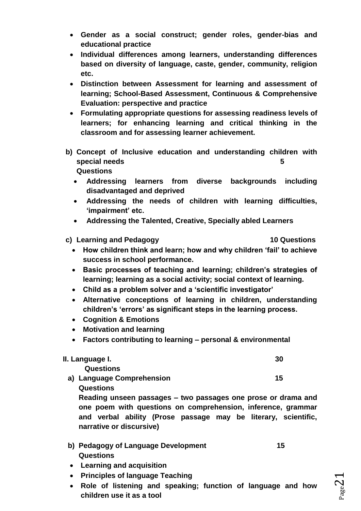- **Gender as a social construct; gender roles, gender-bias and educational practice**
- **Individual differences among learners, understanding differences based on diversity of language, caste, gender, community, religion etc.**
- **Distinction between Assessment for learning and assessment of learning; School-Based Assessment, Continuous & Comprehensive Evaluation: perspective and practice**
- **Formulating appropriate questions for assessing readiness levels of learners; for enhancing learning and critical thinking in the classroom and for assessing learner achievement.**
- **b) Concept of Inclusive education and understanding children with special needs** 5 **Questions** 
	- **Addressing learners from diverse backgrounds including disadvantaged and deprived**
	- **Addressing the needs of children with learning difficulties, 'impairment' etc.**
	- **Addressing the Talented, Creative, Specially abled Learners**
- **c) Learning and Pedagogy 10 Questions**
	- **How children think and learn; how and why children 'fail' to achieve success in school performance.**
	- **Basic processes of teaching and learning; children's strategies of learning; learning as a social activity; social context of learning.**
	- **Child as a problem solver and a 'scientific investigator'**
	- **Alternative conceptions of learning in children, understanding children's 'errors' as significant steps in the learning process.**
	- **Cognition & Emotions**
	- **Motivation and learning**
	- **Factors contributing to learning – personal & environmental**

| II. Language I. |  |
|-----------------|--|
|                 |  |

- **Questions**
- **a)** Language Comprehension 15 **Questions**

**Reading unseen passages – two passages one prose or drama and one poem with questions on comprehension, inference, grammar and verbal ability (Prose passage may be literary, scientific, narrative or discursive)**

- **b) Pedagogy of Language Development 15 Questions**
- **Learning and acquisition**
- **Principles of language Teaching**
- **Role of listening and speaking; function of language and how children use it as a tool**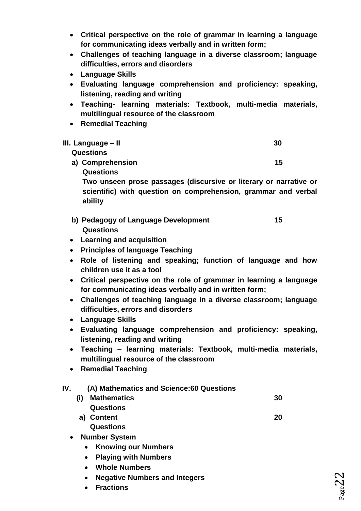- **Critical perspective on the role of grammar in learning a language for communicating ideas verbally and in written form;**
- **Challenges of teaching language in a diverse classroom; language difficulties, errors and disorders**
- **Language Skills**
- **Evaluating language comprehension and proficiency: speaking, listening, reading and writing**
- **Teaching- learning materials: Textbook, multi-media materials, multilingual resource of the classroom**
- **•** Remedial Teaching

| III. Language – II | 30 |
|--------------------|----|
| <b>Questions</b>   |    |
| a) Comprehension   | 15 |
| <b>Questions</b>   |    |

**Two unseen prose passages (discursive or literary or narrative or scientific) with question on comprehension, grammar and verbal ability**

- **b) Pedagogy of Language Development 15 Questions**
- **Learning and acquisition**
- **Principles of language Teaching**
- **Role of listening and speaking; function of language and how children use it as a tool**
- **Critical perspective on the role of grammar in learning a language for communicating ideas verbally and in written form;**
- **Challenges of teaching language in a diverse classroom; language difficulties, errors and disorders**
- **Language Skills**
- **Evaluating language comprehension and proficiency: speaking, listening, reading and writing**
- **Teaching – learning materials: Textbook, multi-media materials, multilingual resource of the classroom**
- **Remedial Teaching**

# **IV. (A) Mathematics and Science:60 Questions**

- **(i) Mathematics 30 Questions a) Content 20** 
	- **Questions**
- **Number System**
	- **Knowing our Numbers**
	- **Playing with Numbers**
	- **Whole Numbers**
	- **Negative Numbers and Integers**
	- **Fractions**

 $_{\rm Page}$ 22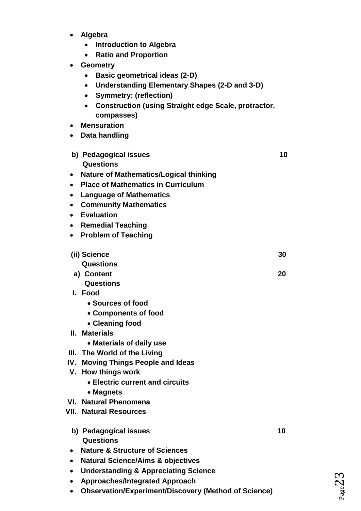- **Algebra** 
	- **Introduction to Algebra**
	- **Ratio and Proportion**
- **Geometry**
	- **Basic geometrical ideas (2-D)**
	- **Understanding Elementary Shapes (2-D and 3-D)**
	- **Symmetry: (reflection)**
	- **Construction (using Straight edge Scale, protractor, compasses)**
- **Mensuration**
- **Data handling**
- **b)** Pedagogical issues 10 **Questions**
- **Nature of Mathematics/Logical thinking**
- **Place of Mathematics in Curriculum**
- **Language of Mathematics**
- **Community Mathematics**
- **Evaluation**
- **•** Remedial Teaching
- **Problem of Teaching**

| (ii) Science     | 30 |
|------------------|----|
| <b>Questions</b> |    |

**a) Content 20** 

- **Questions**
- **I. Food**
	- **Sources of food**
	- **Components of food**
	- **Cleaning food**
- **II. Materials**
	- **Materials of daily use**
- **III. The World of the Living**
- **IV. Moving Things People and Ideas**
- **V. How things work**
	- **Electric current and circuits**
	- **Magnets**
- **VI. Natural Phenomena**
- **VII. Natural Resources**
	- **b) Pedagogical issues** 10 **Questions**
	- **Nature & Structure of Sciences**
	- **Natural Science/Aims & objectives**
	- **Understanding & Appreciating Science**
	- **Approaches/Integrated Approach**
	- **Observation/Experiment/Discovery (Method of Science)**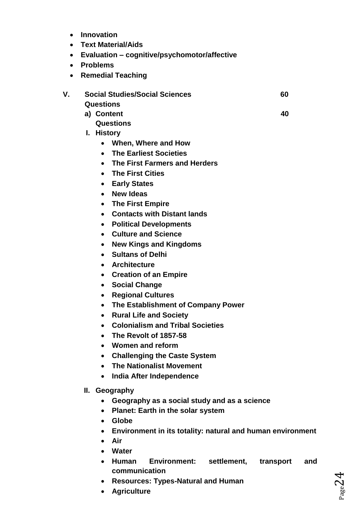- **Innovation**
- **Text Material/Aids**
- **Evaluation – cognitive/psychomotor/affective**
- **Problems**
- **Remedial Teaching**
- **V. Social Studies/Social Sciences 60 Questions**
	- **a) Content 40** 
		- **Questions**
	- **I. History**
		- **When, Where and How**
		- **The Earliest Societies**
		- **The First Farmers and Herders**
		- **The First Cities**
		- **Early States**
		- **New Ideas**
		- **The First Empire**
		- **Contacts with Distant lands**
		- **Political Developments**
		- **Culture and Science**
		- **New Kings and Kingdoms**
		- **Sultans of Delhi**
		- **Architecture**
		- **Creation of an Empire**
		- **Social Change**
		- **Regional Cultures**
		- **The Establishment of Company Power**
		- **Rural Life and Society**
		- **Colonialism and Tribal Societies**
		- **The Revolt of 1857-58**
		- **Women and reform**
		- **Challenging the Caste System**
		- **The Nationalist Movement**
		- **India After Independence**
	- **II. Geography**
		- **Geography as a social study and as a science**
		- **Planet: Earth in the solar system**
		- **Globe**
		- **Environment in its totality: natural and human environment**
		- **Air**
		- **Water**
		- **Human Environment: settlement, transport and communication**
		- **Resources: Types-Natural and Human**
		- **Agriculture**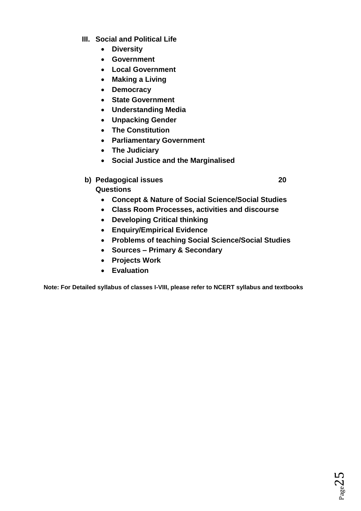- **III. Social and Political Life**
	- **Diversity**
	- **Government**
	- **Local Government**
	- **Making a Living**
	- **Democracy**
	- **State Government**
	- **Understanding Media**
	- **Unpacking Gender**
	- **The Constitution**
	- **Parliamentary Government**
	- **The Judiciary**
	- **Social Justice and the Marginalised**
- **b)** Pedagogical issues 20

**Questions**

- **Concept & Nature of Social Science/Social Studies**
- **Class Room Processes, activities and discourse**
- **Developing Critical thinking**
- **Enquiry/Empirical Evidence**
- **Problems of teaching Social Science/Social Studies**
- **Sources – Primary & Secondary**
- **Projects Work**
- **Evaluation**

**Note: For Detailed syllabus of classes I-VIII, please refer to NCERT syllabus and textbooks**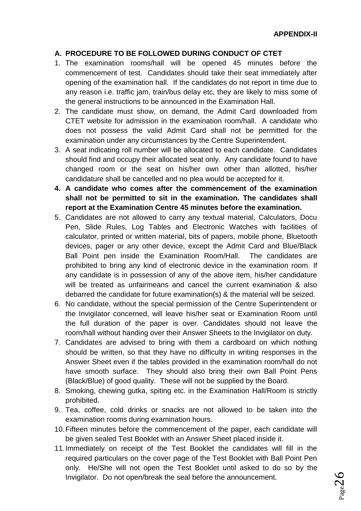## **A. PROCEDURE TO BE FOLLOWED DURING CONDUCT OF CTET**

- 1. The examination rooms/hall will be opened 45 minutes before the commencement of test. Candidates should take their seat immediately after opening of the examination hall. If the candidates do not report in time due to any reason i.e. traffic jam, train/bus delay etc, they are likely to miss some of the general instructions to be announced in the Examination Hall.
- 2. The candidate must show, on demand, the Admit Card downloaded from CTET website for admission in the examination room/hall. A candidate who does not possess the valid Admit Card shall not be permitted for the examination under any circumstances by the Centre Superintendent.
- 3. A seat indicating roll number will be allocated to each candidate. Candidates should find and occupy their allocated seat only. Any candidate found to have changed room or the seat on his/her own other than allotted, his/her candidature shall be cancelled and no plea would be accepted for it.
- **4. A candidate who comes after the commencement of the examination shall not be permitted to sit in the examination. The candidates shall report at the Examination Centre 45 minutes before the examination.**
- 5. Candidates are not allowed to carry any textual material, Calculators, Docu Pen, Slide Rules, Log Tables and Electronic Watches with facilities of calculator, printed or written material, bits of papers, mobile phone, Bluetooth devices, pager or any other device, except the Admit Card and Blue/Black Ball Point pen inside the Examination Room/Hall. The candidates are prohibited to bring any kind of electronic device in the examination room. If any candidate is in possession of any of the above item, his/her candidature will be treated as unfairmeans and cancel the current examination & also debarred the candidate for future examination(s) & the material will be seized.
- 6. No candidate, without the special permission of the Centre Superintendent or the Invigilator concerned, will leave his/her seat or Examination Room until the full duration of the paper is over. Candidates should not leave the room/hall without handing over their Answer Sheets to the Invigilator on duty.
- 7. Candidates are advised to bring with them a cardboard on which nothing should be written, so that they have no difficulty in writing responses in the Answer Sheet even if the tables provided in the examination room/hall do not have smooth surface. They should also bring their own Ball Point Pens (Black/Blue) of good quality. These will not be supplied by the Board.
- 8. Smoking, chewing gutka, spiting etc. in the Examination Hall/Room is strictly prohibited.
- 9. Tea, coffee, cold drinks or snacks are not allowed to be taken into the examination rooms during examination hours.
- 10.Fifteen minutes before the commencement of the paper, each candidate will be given sealed Test Booklet with an Answer Sheet placed inside it.
- 11.Immediately on receipt of the Test Booklet the candidates will fill in the required particulars on the cover page of the Test Booklet with Ball Point Pen only. He/She will not open the Test Booklet until asked to do so by the Invigilator. Do not open/break the seal before the announcement.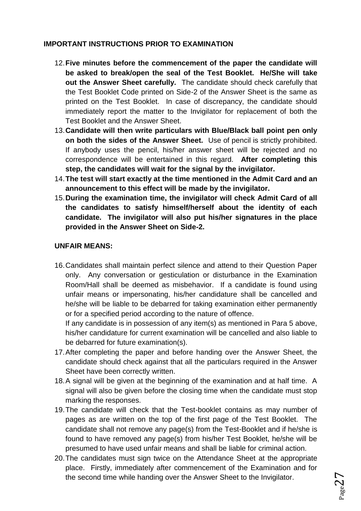# **IMPORTANT INSTRUCTIONS PRIOR TO EXAMINATION**

- 12.**Five minutes before the commencement of the paper the candidate will be asked to break/open the seal of the Test Booklet. He/She will take out the Answer Sheet carefully.** The candidate should check carefully that the Test Booklet Code printed on Side-2 of the Answer Sheet is the same as printed on the Test Booklet. In case of discrepancy, the candidate should immediately report the matter to the Invigilator for replacement of both the Test Booklet and the Answer Sheet.
- 13.**Candidate will then write particulars with Blue/Black ball point pen only on both the sides of the Answer Sheet.** Use of pencil is strictly prohibited. If anybody uses the pencil, his/her answer sheet will be rejected and no correspondence will be entertained in this regard. **After completing this step, the candidates will wait for the signal by the invigilator.**
- 14.**The test will start exactly at the time mentioned in the Admit Card and an announcement to this effect will be made by the invigilator.**
- 15.**During the examination time, the invigilator will check Admit Card of all the candidates to satisfy himself/herself about the identity of each candidate. The invigilator will also put his/her signatures in the place provided in the Answer Sheet on Side-2.**

# **UNFAIR MEANS:**

16.Candidates shall maintain perfect silence and attend to their Question Paper only. Any conversation or gesticulation or disturbance in the Examination Room/Hall shall be deemed as misbehavior. If a candidate is found using unfair means or impersonating, his/her candidature shall be cancelled and he/she will be liable to be debarred for taking examination either permanently or for a specified period according to the nature of offence.

If any candidate is in possession of any item(s) as mentioned in Para 5 above, his/her candidature for current examination will be cancelled and also liable to be debarred for future examination(s).

- 17.After completing the paper and before handing over the Answer Sheet, the candidate should check against that all the particulars required in the Answer Sheet have been correctly written.
- 18.A signal will be given at the beginning of the examination and at half time. A signal will also be given before the closing time when the candidate must stop marking the responses.
- 19.The candidate will check that the Test-booklet contains as may number of pages as are written on the top of the first page of the Test Booklet. The candidate shall not remove any page(s) from the Test-Booklet and if he/she is found to have removed any page(s) from his/her Test Booklet, he/she will be presumed to have used unfair means and shall be liable for criminal action.
- 20.The candidates must sign twice on the Attendance Sheet at the appropriate place. Firstly, immediately after commencement of the Examination and for the second time while handing over the Answer Sheet to the Invigilator.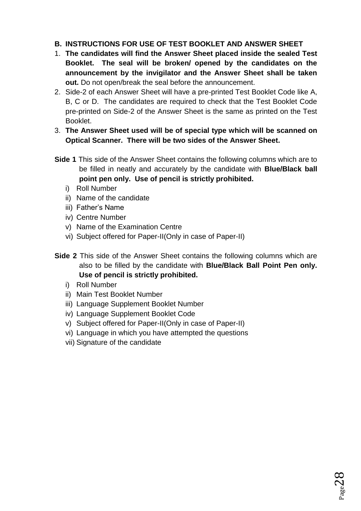# **B. INSTRUCTIONS FOR USE OF TEST BOOKLET AND ANSWER SHEET**

- 1. **The candidates will find the Answer Sheet placed inside the sealed Test Booklet. The seal will be broken/ opened by the candidates on the announcement by the invigilator and the Answer Sheet shall be taken out.** Do not open/break the seal before the announcement.
- 2. Side-2 of each Answer Sheet will have a pre-printed Test Booklet Code like A, B, C or D. The candidates are required to check that the Test Booklet Code pre-printed on Side-2 of the Answer Sheet is the same as printed on the Test Booklet.
- 3. **The Answer Sheet used will be of special type which will be scanned on Optical Scanner. There will be two sides of the Answer Sheet.**
- **Side 1** This side of the Answer Sheet contains the following columns which are to be filled in neatly and accurately by the candidate with **Blue/Black ball point pen only. Use of pencil is strictly prohibited.**
	- i) Roll Number
	- ii) Name of the candidate
	- iii) Father's Name
	- iv) Centre Number
	- v) Name of the Examination Centre
	- vi) Subject offered for Paper-II(Only in case of Paper-II)
- **Side 2** This side of the Answer Sheet contains the following columns which are also to be filled by the candidate with **Blue/Black Ball Point Pen only. Use of pencil is strictly prohibited.**
	- i) Roll Number
	- ii) Main Test Booklet Number
	- iii) Language Supplement Booklet Number
	- iv) Language Supplement Booklet Code
	- v) Subject offered for Paper-II(Only in case of Paper-II)
	- vi) Language in which you have attempted the questions
	- vii) Signature of the candidate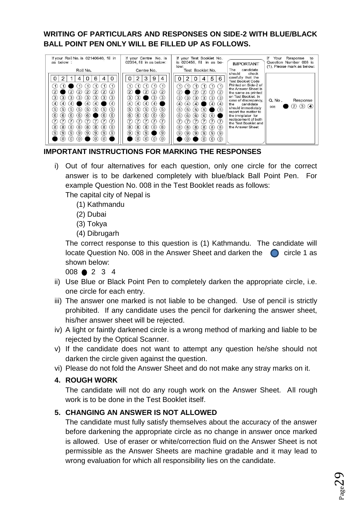# **WRITING OF PARTICULARS AND RESPONSES ON SIDE-2 WITH BLUE/BLACK BALL POINT PEN ONLY WILL BE FILLED UP AS FOLLOWS.**

| If your Roll No. is 02140640, fill in<br>as below :<br>Roll No.                                                                                                                                                                                                                                                                                                                                                                                                                                                                                                                                                                                    | If your Centre No. is<br>02394, fill in as below:<br>Centre No.                                                                                                                                                                                                                                                                                                                                                                                                              | If your Test Booklet No.<br>is 020456, fill in as be-<br>low:<br>Test Booklet No.                                                                                                                                                                                                                                                                                                                                                                    | <b>IMPORTANT</b><br>candidate<br>The                                                                                                                                                                                                                                                                                                               | Response<br>١f<br>Your<br>to<br>Question Number 008 is<br>(1). Please mark as below: |
|----------------------------------------------------------------------------------------------------------------------------------------------------------------------------------------------------------------------------------------------------------------------------------------------------------------------------------------------------------------------------------------------------------------------------------------------------------------------------------------------------------------------------------------------------------------------------------------------------------------------------------------------------|------------------------------------------------------------------------------------------------------------------------------------------------------------------------------------------------------------------------------------------------------------------------------------------------------------------------------------------------------------------------------------------------------------------------------------------------------------------------------|------------------------------------------------------------------------------------------------------------------------------------------------------------------------------------------------------------------------------------------------------------------------------------------------------------------------------------------------------------------------------------------------------------------------------------------------------|----------------------------------------------------------------------------------------------------------------------------------------------------------------------------------------------------------------------------------------------------------------------------------------------------------------------------------------------------|--------------------------------------------------------------------------------------|
| 0<br>0<br>6<br>4<br>$\left(1\right)$<br>$\overline{1}$<br>$\left( 2\right)$<br>$\overline{2}$<br>$\overline{2}$<br>$\mathbf{2}$<br>$\left( 2\right)$<br>$\overline{2}$<br>(3)<br>(3)<br>(3)<br>(3)<br>(3)<br>(3)<br>(3)<br>(3)<br>$\left( 4\right)$<br>$\left(4\right)$<br>(4)<br>(4)<br>(4)<br>$\left(4\right)$<br>(5)<br>(5)<br>(5)<br>(5)<br>5<br>$\left(5\right)$<br>(5)<br>$\left(5\right)$<br>(6)<br>(6)<br>(6)<br>(6)<br>(6)<br>(6)<br>(6)<br>$\tau$<br>7<br>$\overline{7}$<br>(8)<br>(8)<br>(8)<br>(8)<br>(8)<br>(8)<br>(8)<br>(8)<br>(9)<br>(9)<br>(9)<br>(9)<br>(9)<br>9)<br>(9)<br>(9)<br>(0)<br>(O)<br>$\overline{0}$<br>$\alpha$<br>O | 3<br>2<br>9<br>4<br>(1)<br>$\left(1\right)$<br>$\left( 2\right)$<br>$\left( 2\right)$<br>$\overline{2}$<br>$\overline{2}$<br>$\left(3\right)$<br>(3)<br>(3)<br>(3)<br>$\left(4\right)$<br>(4)<br>(4)<br>(4)<br>(5)<br>(5)<br>(5)<br>(5)<br>(5)<br>$6$<br>(6)<br>(6)<br>(6)<br>(6)<br>(7)<br>$\mathcal{L}$<br>$\tau$<br>7<br>$\tau$<br>$\left(8\right)$<br>(8)<br>(8)<br>(8)<br>(8)<br>$\left( 9\right)$<br>(9)<br>(9)<br>(9)<br>$\alpha$<br>(0)<br>(0)<br>$\left( 0 \right)$ | 5<br>6<br>0<br>O<br>4<br>$\left( 1\right)$<br>(2)<br>(2)<br>$\left( 2\right)$<br>$\left( 2\right)$<br>2,<br>(3)<br>(3)<br>(3)<br>$\left(3\right)$<br>(3)<br>(3)<br>$\left( 4\right)$<br>(4)<br>(4)<br>$\left(4\right)$<br>(4)<br>(5)<br>(5)<br>(5)<br>(5)<br>(5)<br>(6)<br>(6)<br>(6)<br>(6)<br>(6)<br>7<br>$\overline{7}$<br>(8)<br>(8)<br>(8)<br>(8)<br>(8)<br>(8)<br>(9)<br>(9)<br>(9)<br>(9)<br>(9)<br>(9)<br>(0)<br>(0)<br>$\alpha$<br>$\alpha$ | should<br>check<br>carefully that the<br><b>Test Booklet Code</b><br>Printed on Side-2 of<br>the Answer Sheet is<br>the same as printed<br>on Test Booklet, In<br>case of discrepancy,<br>candidate<br>the<br>should immediataly<br>report the matter to<br>the invigilator for<br>replacement of both<br>the Test Booklet and<br>the Answer Sheet | Q. No.<br>Response<br>(3)<br>(4)<br>$\left( 2\right)$<br>008                         |

# **IMPORTANT INSTRUCTIONS FOR MARKING THE RESPONSES**

i) Out of four alternatives for each question, only one circle for the correct answer is to be darkened completely with blue/black Ball Point Pen. For example Question No. 008 in the Test Booklet reads as follows:

The capital city of Nepal is

- (1) Kathmandu
- (2) Dubai
- (3) Tokya
- (4) Dibrugarh

The correct response to this question is (1) Kathmandu. The candidate will locate Question No. 008 in the Answer Sheet and darken the circle 1 as shown below:

008 2 3 4

- ii) Use Blue or Black Point Pen to completely darken the appropriate circle, i.e. one circle for each entry.
- iii) The answer one marked is not liable to be changed. Use of pencil is strictly prohibited. If any candidate uses the pencil for darkening the answer sheet, his/her answer sheet will be rejected.
- iv) A light or faintly darkened circle is a wrong method of marking and liable to be rejected by the Optical Scanner.
- v) If the candidate does not want to attempt any question he/she should not darken the circle given against the question.
- vi) Please do not fold the Answer Sheet and do not make any stray marks on it.

# **4. ROUGH WORK**

The candidate will not do any rough work on the Answer Sheet. All rough work is to be done in the Test Booklet itself.

# **5. CHANGING AN ANSWER IS NOT ALLOWED**

The candidate must fully satisfy themselves about the accuracy of the answer before darkening the appropriate circle as no change in answer once marked is allowed. Use of eraser or white/correction fluid on the Answer Sheet is not permissible as the Answer Sheets are machine gradable and it may lead to wrong evaluation for which all responsibility lies on the candidate.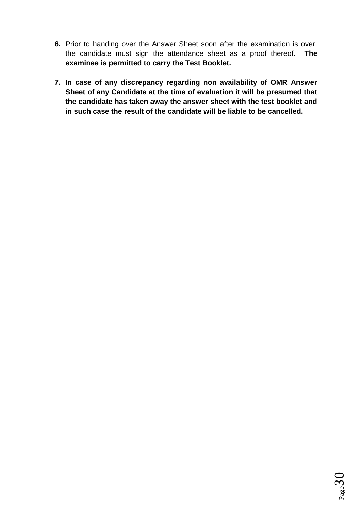- **6.** Prior to handing over the Answer Sheet soon after the examination is over, the candidate must sign the attendance sheet as a proof thereof. **The examinee is permitted to carry the Test Booklet.**
- **7. In case of any discrepancy regarding non availability of OMR Answer Sheet of any Candidate at the time of evaluation it will be presumed that the candidate has taken away the answer sheet with the test booklet and in such case the result of the candidate will be liable to be cancelled.**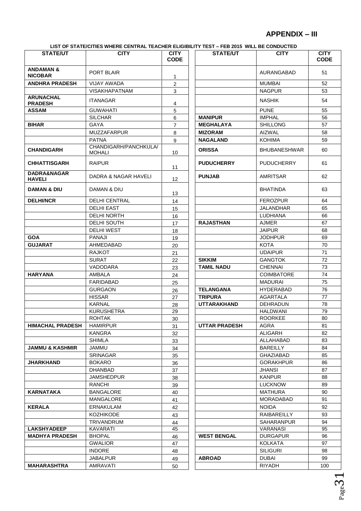# **APPENDIX – III**

**LIST OF STATE/CITIES WHERE CENTRAL TEACHER ELIGIBILITY TEST – FEB 2015 WILL BE CONDUCTED**

| <b>STATE/UT</b>                        | LIST OF STATE/CITIES WHERE CENTRAL TEACHER ELIGIBILITY TEST – FEB 2015 WILL BE CONDUCTED<br><b>CITY</b> | <b>CITY</b>       | <b>STATE/UT</b>      | <b>CITY</b>             | <b>CITY</b> |
|----------------------------------------|---------------------------------------------------------------------------------------------------------|-------------------|----------------------|-------------------------|-------------|
|                                        |                                                                                                         | <b>CODE</b>       |                      |                         | <b>CODE</b> |
| <b>ANDAMAN &amp;</b><br><b>NICOBAR</b> | PORT BLAIR                                                                                              | 1                 |                      | AURANGABAD              | 51          |
| <b>ANDHRA PRADESH</b>                  | <b>VIJAY AWADA</b>                                                                                      | $\overline{2}$    |                      | <b>MUMBAI</b>           | 52          |
|                                        | <b>VISAKHAPATNAM</b>                                                                                    | 3                 |                      | <b>NAGPUR</b>           | 53          |
| <b>ARUNACHAL</b><br><b>PRADESH</b>     | <b>ITANAGAR</b>                                                                                         | 4                 |                      | <b>NASHIK</b>           | 54          |
| <b>ASSAM</b>                           | <b>GUWAHATI</b>                                                                                         | 5                 |                      | <b>PUNE</b>             | 55          |
|                                        | <b>SILCHAR</b>                                                                                          | 6                 | <b>MANIPUR</b>       | <b>IMPHAL</b>           | 56          |
| <b>BIHAR</b>                           | <b>GAYA</b>                                                                                             | 7                 | <b>MEGHALAYA</b>     | <b>SHILLONG</b>         | 57          |
|                                        | <b>MUZZAFARPUR</b>                                                                                      | 8                 | <b>MIZORAM</b>       | <b>AIZWAL</b>           | 58          |
|                                        | <b>PATNA</b>                                                                                            | 9                 | <b>NAGALAND</b>      | <b>KOHIMA</b>           | 59          |
| <b>CHANDIGARH</b>                      | CHANDIGARH/PANCHKULA/<br><b>MOHALI</b>                                                                  | 10                | <b>ORISSA</b>        | <b>BHUBANESHWAR</b>     | 60          |
| <b>CHHATTISGARH</b>                    | <b>RAIPUR</b>                                                                                           | 11                | <b>PUDUCHERRY</b>    | <b>PUDUCHERRY</b>       | 61          |
| DADRA&NAGAR<br><b>HAVELI</b>           | <b>DADRA &amp; NAGAR HAVELI</b>                                                                         | $12 \overline{ }$ | <b>PUNJAB</b>        | <b>AMRITSAR</b>         | 62          |
| DAMAN & DIU                            | DAMAN & DIU                                                                                             | 13                |                      | <b>BHATINDA</b>         | 63          |
| <b>DELHI/NCR</b>                       | <b>DELHI CENTRAL</b>                                                                                    | 14                |                      | <b>FEROZPUR</b>         | 64          |
|                                        | <b>DELHI EAST</b>                                                                                       | 15                |                      | <b>JALANDHAR</b>        | 65          |
|                                        | <b>DELHI NORTH</b>                                                                                      | 16                |                      | <b>LUDHIANA</b>         | 66          |
|                                        | DELHI SOUTH                                                                                             | 17                | <b>RAJASTHAN</b>     | <b>AJMER</b>            | 67          |
|                                        | <b>DELHI WEST</b>                                                                                       | 18                |                      | <b>JAIPUR</b>           | 68          |
| <b>GOA</b>                             | <b>PANAJI</b>                                                                                           | 19                |                      | <b>JODHPUR</b>          | 69          |
| <b>GUJARAT</b>                         | AHMEDABAD                                                                                               | 20                |                      | <b>KOTA</b>             | 70          |
|                                        | <b>RAJKOT</b>                                                                                           | 21                |                      | <b>UDAIPUR</b>          | 71          |
|                                        | <b>SURAT</b>                                                                                            | 22                | <b>SIKKIM</b>        | <b>GANGTOK</b>          | 72          |
|                                        | VADODARA                                                                                                | 23                | <b>TAMIL NADU</b>    | <b>CHENNAI</b>          | 73          |
| <b>HARYANA</b>                         | AMBALA                                                                                                  | 24                |                      | <b>COIMBATORE</b>       | 74          |
|                                        | <b>FARIDABAD</b>                                                                                        | 25                |                      | <b>MADURAI</b>          | 75          |
|                                        | <b>GURGAON</b>                                                                                          | 26                | <b>TELANGANA</b>     | <b>HYDERABAD</b>        | 76          |
|                                        | <b>HISSAR</b>                                                                                           | 27                | <b>TRIPURA</b>       | AGARTALA                | 77          |
|                                        | <b>KARNAL</b>                                                                                           | 28                | <b>UTTARAKHAND</b>   | <b>DEHRADUN</b>         | 78          |
|                                        | <b>KURUSHETRA</b>                                                                                       | 29                |                      | <b>HALDWANI</b>         | 79          |
|                                        | <b>ROHTAK</b>                                                                                           | 30                |                      | <b>ROORKEE</b>          | 80          |
| <b>HIMACHAL PRADESH</b>                | <b>HAMIRPUR</b>                                                                                         | 31                | <b>UTTAR PRADESH</b> | AGRA                    | 81          |
|                                        | <b>KANGRA</b>                                                                                           | 32                |                      | ALIGARH                 | 82          |
|                                        | SHIMLA                                                                                                  | 33                |                      | ALLAHABAD               | 83          |
| <b>JAMMU &amp; KASHMIR</b>             | JAMMU                                                                                                   | 34                |                      | BAREILLY                | 84          |
|                                        | <b>SRINAGAR</b>                                                                                         | 35                |                      | GHAZIABAD               | 85<br>86    |
| JHARKHAND                              | <b>BOKARO</b><br><b>DHANBAD</b>                                                                         | 36                |                      | <b>GORAKHPUR</b>        | 87          |
|                                        | <b>JAMSHEDPUR</b>                                                                                       | 37                |                      | JHANSI<br><b>KANPUR</b> | 88          |
|                                        | RANCHI                                                                                                  | 38                |                      | <b>LUCKNOW</b>          | 89          |
| KARNATAKA                              | <b>BANGALORE</b>                                                                                        | 39<br>40          |                      | MATHURA                 | 90          |
|                                        | MANGALORE                                                                                               | 41                |                      | MORADABAD               | 91          |
| <b>KERALA</b>                          | ERNAKULAM                                                                                               | 42                |                      | <b>NOIDA</b>            | 92          |
|                                        | <b>KOZHIKODE</b>                                                                                        | 43                |                      | <b>RAIBAREILLY</b>      | 93          |
|                                        | TRIVANDRUM                                                                                              | 44                |                      | <b>SAHARANPUR</b>       | 94          |
| <b>LAKSHYADEEP</b>                     | KAVARATI                                                                                                | 45                |                      | VARANASI                | 95          |
| <b>MADHYA PRADESH</b>                  | <b>BHOPAL</b>                                                                                           | 46                | <b>WEST BENGAL</b>   | <b>DURGAPUR</b>         | 96          |
|                                        | <b>GWALIOR</b>                                                                                          | 47                |                      | KOLKATA                 | 97          |
|                                        | <b>INDORE</b>                                                                                           | 48                |                      | <b>SILIGURI</b>         | 98          |
|                                        | JABALPUR                                                                                                | 49                | <b>ABROAD</b>        | DUBAI                   | 99          |
| <b>MAHARASHTRA</b>                     | AMRAVATI                                                                                                | 50                |                      | RIYADH                  | 100         |

Page  $3<sub>1</sub>$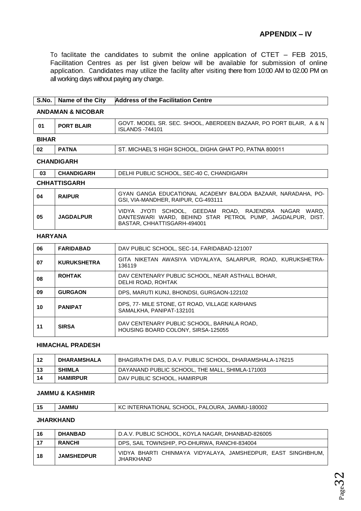To facilitate the candidates to submit the online application of CTET – FEB 2015, Facilitation Centres as per list given below will be available for submission of online application. Candidates may utilize the facility after visiting there from 10:00 AM to 02.00 PM on all working days without paying any charge.

# **S.No. Name of the City Address of the Facilitation Centre ANDAMAN & NICOBAR 01 PORT BLAIR** GOVT. MODEL SR. SEC. SHOOL, ABERDEEN BAZAAR, PO PORT BLAIR, A & N ISLANDS -744101

#### **BIHAR**

| -02 | <b>PATNA</b> | ST. MICHAEL'S HIGH SCHOOL, DIGHA GHAT PO, PATNA 800011 |
|-----|--------------|--------------------------------------------------------|

#### **CHANDIGARH**

| <b>CHANDIGARH</b>   | DELHI PUBLIC SCHOOL, SEC-40 C, CHANDIGARH |
|---------------------|-------------------------------------------|
| <b>CHHATTISGARH</b> |                                           |

| 04 | <b>RAIPUR</b>    | GYAN GANGA EDUCATIONAL ACADEMY BALODA BAZAAR, NARADAHA, PO-<br>GSI, VIA-MANDHER, RAIPUR, CG-493111                                                 |
|----|------------------|----------------------------------------------------------------------------------------------------------------------------------------------------|
| 05 | <b>JAGDALPUR</b> | VIDYA JYOTI SCHOOL, GEEDAM ROAD, RAJENDRA NAGAR WARD.<br>DANTESWARI WARD. BEHIND STAR PETROL PUMP. JAGDALPUR. DIST.<br>BASTAR, CHHATTISGARH-494001 |

#### **HARYANA**

| 06 | <b>FARIDABAD</b>   | DAV PUBLIC SCHOOL, SEC-14, FARIDABAD-121007                                      |
|----|--------------------|----------------------------------------------------------------------------------|
| 07 | <b>KURUKSHETRA</b> | GITA NIKETAN AWASIYA VIDYALAYA, SALARPUR, ROAD, KURUKSHETRA-<br>136119           |
| 08 | <b>ROHTAK</b>      | DAV CENTENARY PUBLIC SCHOOL, NEAR ASTHALL BOHAR,<br>DELHI ROAD, ROHTAK           |
| 09 | <b>GURGAON</b>     | DPS, MARUTI KUNJ, BHONDSI, GURGAON-122102                                        |
| 10 | <b>PANIPAT</b>     | DPS, 77- MILE STONE, GT ROAD, VILLAGE KARHANS<br>SAMALKHA, PANIPAT-132101        |
| 11 | <b>SIRSA</b>       | DAV CENTENARY PUBLIC SCHOOL, BARNALA ROAD,<br>HOUSING BOARD COLONY, SIRSA-125055 |

#### **HIMACHAL PRADESH**

| -12 | DHARAMSHALA     | BHAGIRATHI DAS, D.A.V. PUBLIC SCHOOL, DHARAMSHALA-176215 |
|-----|-----------------|----------------------------------------------------------|
| -13 | <b>SHIMLA</b>   | DAYANAND PUBLIC SCHOOL, THE MALL, SHIMLA-171003          |
| 14  | <b>HAMIRPUR</b> | DAV PUBLIC SCHOOL, HAMIRPUR                              |

#### **JAMMU & KASHMIR**

| 15 | <b>JAMMU</b> | KC INTERNATIONAL SCHOOL, PALOURA, JAMMU-180002 |
|----|--------------|------------------------------------------------|
|----|--------------|------------------------------------------------|

#### **JHARKHAND**

| 16 | <b>DHANBAD</b>    | D.A.V. PUBLIC SCHOOL, KOYLA NAGAR, DHANBAD-826005                         |
|----|-------------------|---------------------------------------------------------------------------|
| 17 | <b>RANCHI</b>     | DPS, SAIL TOWNSHIP, PO-DHURWA, RANCHI-834004                              |
| 18 | <b>JAMSHEDPUR</b> | VIDYA BHARTI CHINMAYA VIDYALAYA, JAMSHEDPUR, EAST SINGHBHUM,<br>JHARKHAND |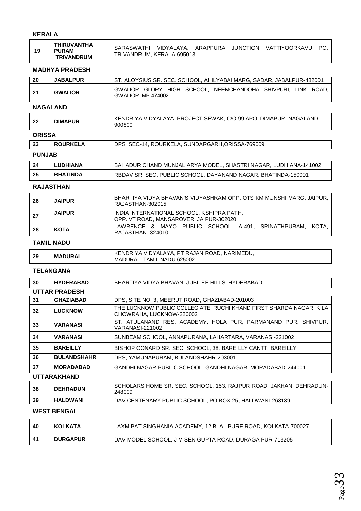#### **KERALA**

| 19 | THIRUVANTHA<br><b>PURAM</b><br><b>TRIVANDRUM</b> | SARASWATHI<br>TRIVANDRUM, KERALA-695013 | VIDYALAYA, ARAPPURA JUNCTION |  |  | VATTIYOORKAVU | PO. |
|----|--------------------------------------------------|-----------------------------------------|------------------------------|--|--|---------------|-----|
|----|--------------------------------------------------|-----------------------------------------|------------------------------|--|--|---------------|-----|

#### **MADHYA PRADESH**

| 20 | <b>JABALPUR</b> | ST. ALOYSIUS SR. SEC. SCHOOL. AHILYABAI MARG. SADAR. JABALPUR-482001                      |
|----|-----------------|-------------------------------------------------------------------------------------------|
| 21 | <b>GWALIOR</b>  | GWALIOR GLORY HIGH SCHOOL, NEEMCHANDOHA SHIVPURI, LINK ROAD,<br><b>GWALIOR, MP-474002</b> |

#### **NAGALAND**

| -22<br>ADICA | <b>DIMAPUR</b> | 900800                                                            |
|--------------|----------------|-------------------------------------------------------------------|
|              |                | KENDRIYA VIDYALAYA, PROJECT SEWAK, C/O 99 APO, DIMAPUR, NAGALAND- |

#### **ORISSA**

| 23            | <b>ROURKELA</b> | DPS SEC-14, ROURKELA, SUNDARGARH, ORISSA-769009 |
|---------------|-----------------|-------------------------------------------------|
| <b>PUNJAB</b> |                 |                                                 |

| -24 | <b>LUDHIANA</b> | BAHADUR CHAND MUNJAL ARYA MODEL, SHASTRI NAGAR, LUDHIANA-141002 |
|-----|-----------------|-----------------------------------------------------------------|
| 25  | <b>BHATINDA</b> | RBDAV SR. SEC. PUBLIC SCHOOL, DAYANAND NAGAR, BHATINDA-150001   |

#### **RAJASTHAN**

| - 26 | <b>JAIPUR</b> | BHARTIYA VIDYA BHAVAN'S VIDYASHRAM OPP. OTS KM MUNSHI MARG, JAIPUR,<br>RAJASTHAN-302015 |
|------|---------------|-----------------------------------------------------------------------------------------|
| -27  | <b>JAIPUR</b> | INDIA INTERNATIONAL SCHOOL, KSHIPRA PATH.<br>OPP. VT ROAD, MANSAROVER, JAIPUR-302020    |
| -28  | KOTA          | LAWRENCE & MAYO PUBLIC SCHOOL, A-491, SRINATHPURAM, KOTA,<br>RAJASTHAN -324010          |

#### **TAMIL NADU**

| -29 | <b>MADURAI</b> | KENDRIYA VIDYALAYA, PT RAJAN ROAD, NARIMEDU, |
|-----|----------------|----------------------------------------------|
|     |                | TAMIL NADU-625002<br>MADURAI.                |

## **TELANGANA**

| 30                   | <b>HYDERABAD</b>   | BHARTIYA VIDYA BHAVAN, JUBILEE HILLS, HYDERABAD                                                 |  |  |  |
|----------------------|--------------------|-------------------------------------------------------------------------------------------------|--|--|--|
| <b>UTTAR PRADESH</b> |                    |                                                                                                 |  |  |  |
| 31                   | <b>GHAZIABAD</b>   | DPS, SITE NO. 3, MEERUT ROAD, GHAZIABAD-201003                                                  |  |  |  |
| 32                   | <b>LUCKNOW</b>     | THE LUCKNOW PUBLIC COLLEGIATE, RUCHI KHAND FIRST SHARDA NAGAR, KILA<br>CHOWRAHA, LUCKNOW-226002 |  |  |  |
| 33                   | <b>VARANASI</b>    | ST. ATULANAND RES. ACADEMY, HOLA PUR, PARMANAND PUR, SHIVPUR,<br>VARANASI-221002                |  |  |  |
| 34                   | <b>VARANASI</b>    | SUNBEAM SCHOOL, ANNAPURANA, LAHARTARA, VARANASI-221002                                          |  |  |  |
| 35                   | <b>BAREILLY</b>    | BISHOP CONARD SR. SEC. SCHOOL, 38, BAREILLY CANTT. BAREILLY                                     |  |  |  |
| 36                   | <b>BULANDSHAHR</b> | DPS, YAMUNAPURAM, BULANDSHAHR-203001                                                            |  |  |  |
| 37                   | <b>MORADABAD</b>   | GANDHI NAGAR PUBLIC SCHOOL, GANDHI NAGAR, MORADABAD-244001                                      |  |  |  |
|                      | <b>UTTARAKHAND</b> |                                                                                                 |  |  |  |
| 38                   | <b>DEHRADUN</b>    | SCHOLARS HOME SR. SEC. SCHOOL, 153, RAJPUR ROAD, JAKHAN, DEHRADUN-<br>248009                    |  |  |  |
| 39                   | <b>HALDWANI</b>    | DAV CENTENARY PUBLIC SCHOOL, PO BOX-25, HALDWANI-263139                                         |  |  |  |
|                      |                    |                                                                                                 |  |  |  |

#### **WEST BENGAL**

| -40  | <b>KOLKATA</b>  | LAXMIPAT SINGHANIA ACADEMY, 12 B, ALIPURE ROAD, KOLKATA-700027 |
|------|-----------------|----------------------------------------------------------------|
| - 41 | <b>DURGAPUR</b> | DAV MODEL SCHOOL, J M SEN GUPTA ROAD, DURAGA PUR-713205        |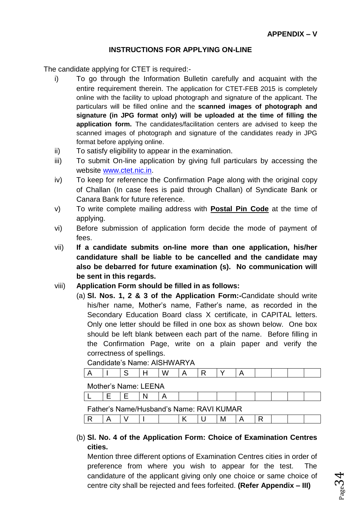## **INSTRUCTIONS FOR APPLYING ON-LINE**

The candidate applying for CTET is required:-

- i) To go through the Information Bulletin carefully and acquaint with the entire requirement therein. The application for CTET-FEB 2015 is completely online with the facility to upload photograph and signature of the applicant. The particulars will be filled online and the **scanned images of photograph and signature (in JPG format only) will be uploaded at the time of filling the application form.** The candidates/facilitation centers are advised to keep the scanned images of photograph and signature of the candidates ready in JPG format before applying online.
- ii) To satisfy eligibility to appear in the examination.
- iii) To submit On-line application by giving full particulars by accessing the website [www.ctet.nic.in.](http://www.ctet.nic.in/)
- iv) To keep for reference the Confirmation Page along with the original copy of Challan (In case fees is paid through Challan) of Syndicate Bank or Canara Bank for future reference.
- v) To write complete mailing address with **Postal Pin Code** at the time of applying.
- vi) Before submission of application form decide the mode of payment of fees.
- vii) **If a candidate submits on-line more than one application, his/her candidature shall be liable to be cancelled and the candidate may also be debarred for future examination (s). No communication will be sent in this regards.**
- viii) **Application Form should be filled in as follows:**
	- (a) **Sl. Nos. 1, 2 & 3 of the Application Form:-**Candidate should write his/her name, Mother's name, Father's name, as recorded in the Secondary Education Board class X certificate, in CAPITAL letters. Only one letter should be filled in one box as shown below. One box should be left blank between each part of the name. Before filling in the Confirmation Page, write on a plain paper and verify the correctness of spellings.

Candidate's Name: AISHWARYA

Mother's Name: LEENA

|  |  | Father's Name/Husband's Name: RAVI KUMAR |  |  |  |  |
|--|--|------------------------------------------|--|--|--|--|

(b) **Sl. No. 4 of the Application Form: Choice of Examination Centres cities.**

Mention three different options of Examination Centres cities in order of preference from where you wish to appear for the test. The candidature of the applicant giving only one choice or same choice of centre city shall be rejected and fees forfeited. **(Refer Appendix – III)**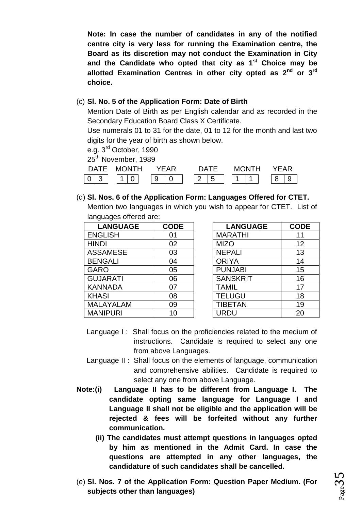**Note: In case the number of candidates in any of the notified centre city is very less for running the Examination centre, the Board as its discretion may not conduct the Examination in City and the Candidate who opted that city as 1st Choice may be allotted Examination Centres in other city opted as 2nd or 3rd choice.**

## (c) **Sl. No. 5 of the Application Form: Date of Birth**

Mention Date of Birth as per English calendar and as recorded in the Secondary Education Board Class X Certificate.

Use numerals 01 to 31 for the date, 01 to 12 for the month and last two digits for the year of birth as shown below.

e.g. 3rd October, 1990

25<sup>th</sup> November, 1989

| ר∆רΣ | NTH<br>MC. | 'FAR   |                                           | <b>MONTH</b> | ΈAR |
|------|------------|--------|-------------------------------------------|--------------|-----|
| ∽    | U          | a<br>ີ | $\overline{ }$<br>$\sim$<br>∽<br><u>_</u> | и<br>-       |     |

(d) **Sl. Nos. 6 of the Application Form: Languages Offered for CTET.** Mention two languages in which you wish to appear for CTET. List of languages offered are:

| <b>LANGUAGE</b>  | <b>CODE</b> | <b>LANGUAGE</b> | <b>COD</b> |
|------------------|-------------|-----------------|------------|
| <b>ENGLISH</b>   | 01          | <b>MARATHI</b>  | 11         |
| <b>HINDI</b>     | 02          | <b>MIZO</b>     | 12         |
| <b>ASSAMESE</b>  | 03          | <b>NEPALI</b>   | 13         |
| <b>BENGALI</b>   | 04          | <b>ORIYA</b>    | 14         |
| <b>GARO</b>      | 05          | <b>PUNJABI</b>  | 15         |
| <b>GUJARATI</b>  | 06          | <b>SANSKRIT</b> | 16         |
| <b>KANNADA</b>   | 07          | <b>TAMIL</b>    | 17         |
| <b>KHASI</b>     | 08          | <b>TELUGU</b>   | 18         |
| <b>MALAYALAM</b> | 09          | <b>TIBETAN</b>  | 19         |
| <b>MANIPURI</b>  | 10          | JRDU            | 20         |

| <b>LANGUAGE</b> | <b>CODE</b> | <b>LANGUAGE</b> | <b>CODE</b> |
|-----------------|-------------|-----------------|-------------|
| <b>ENGLISH</b>  | 01          | <b>MARATHI</b>  | 11          |
| <b>HINDI</b>    | 02          | <b>MIZO</b>     | 12          |
| ASSAMESE        | 03          | <b>NEPALI</b>   | 13          |
| <b>BENGALI</b>  | 04          | <b>ORIYA</b>    | 14          |
| GARO            | 05          | <b>PUNJABI</b>  | 15          |
| <b>GUJARATI</b> | 06          | <b>SANSKRIT</b> | 16          |
| <b>KANNADA</b>  | 07          | <b>TAMIL</b>    | 17          |
| <b>KHASI</b>    | 08          | <b>TELUGU</b>   | 18          |
| MALAYALAM       | 09          | <b>TIBETAN</b>  | 19          |
| <b>MANIPURI</b> | 10          | URDU            | 20          |

- Language I: Shall focus on the proficiencies related to the medium of instructions. Candidate is required to select any one from above Languages.
- Language II : Shall focus on the elements of language, communication and comprehensive abilities. Candidate is required to select any one from above Language.
- **Note:(i) Language II has to be different from Language I. The candidate opting same language for Language I and Language II shall not be eligible and the application will be rejected & fees will be forfeited without any further communication.**
	- **(ii) The candidates must attempt questions in languages opted by him as mentioned in the Admit Card. In case the questions are attempted in any other languages, the candidature of such candidates shall be cancelled.**
- (e) **Sl. Nos. 7 of the Application Form: Question Paper Medium. (For subjects other than languages)**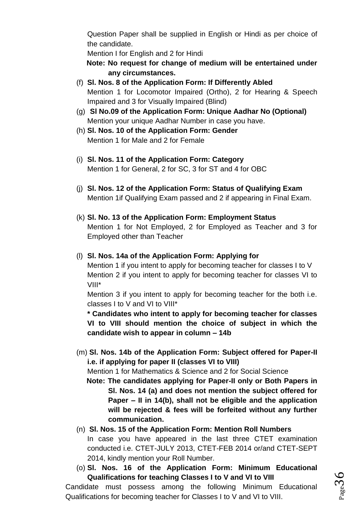Question Paper shall be supplied in English or Hindi as per choice of the candidate.

Mention I for English and 2 for Hindi

**Note: No request for change of medium will be entertained under any circumstances.**

- (f) **Sl. Nos. 8 of the Application Form: If Differently Abled** Mention 1 for Locomotor Impaired (Ortho), 2 for Hearing & Speech Impaired and 3 for Visually Impaired (Blind)
- (g) **Sl No.09 of the Application Form: Unique Aadhar No (Optional)** Mention your unique Aadhar Number in case you have.
- (h) **Sl. Nos. 10 of the Application Form: Gender** Mention 1 for Male and 2 for Female
- (i) **Sl. Nos. 11 of the Application Form: Category** Mention 1 for General, 2 for SC, 3 for ST and 4 for OBC
- (j) **Sl. Nos. 12 of the Application Form: Status of Qualifying Exam** Mention 1if Qualifying Exam passed and 2 if appearing in Final Exam.
- (k) **Sl. No. 13 of the Application Form: Employment Status** Mention 1 for Not Employed, 2 for Employed as Teacher and 3 for Employed other than Teacher
- (l) **Sl. Nos. 14a of the Application Form: Applying for**

Mention 1 if you intent to apply for becoming teacher for classes I to V Mention 2 if you intent to apply for becoming teacher for classes VI to VIII\*

Mention 3 if you intent to apply for becoming teacher for the both i.e. classes I to V and VI to VIII\*

**\* Candidates who intent to apply for becoming teacher for classes VI to VIII should mention the choice of subject in which the candidate wish to appear in column – 14b**

(m) **Sl. Nos. 14b of the Application Form: Subject offered for Paper-II i.e. if applying for paper II (classes VI to VIII)**

Mention 1 for Mathematics & Science and 2 for Social Science

**Note: The candidates applying for Paper-II only or Both Papers in Sl. Nos. 14 (a) and does not mention the subject offered for Paper – II in 14(b), shall not be eligible and the application will be rejected & fees will be forfeited without any further communication.** 

# (n) **Sl. Nos. 15 of the Application Form: Mention Roll Numbers**

In case you have appeared in the last three CTET examination conducted i.e. CTET-JULY 2013, CTET-FEB 2014 or/and CTET-SEPT 2014, kindly mention your Roll Number.

(o) **Sl. Nos. 16 of the Application Form: Minimum Educational Qualifications for teaching Classes I to V and VI to VIII**

 $36<sub>age</sub>$ 

Candidate must possess among the following Minimum Educational Qualifications for becoming teacher for Classes I to V and VI to VIII.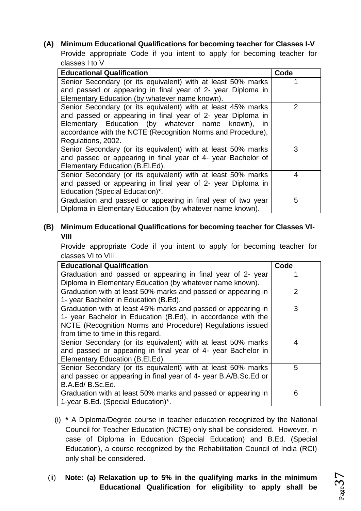**(A) Minimum Educational Qualifications for becoming teacher for Classes I-V** Provide appropriate Code if you intent to apply for becoming teacher for classes I to V

| <b>Educational Qualification</b>                             | Code          |
|--------------------------------------------------------------|---------------|
| Senior Secondary (or its equivalent) with at least 50% marks |               |
| and passed or appearing in final year of 2- year Diploma in  |               |
| Elementary Education (by whatever name known).               |               |
| Senior Secondary (or its equivalent) with at least 45% marks | $\mathcal{P}$ |
| and passed or appearing in final year of 2- year Diploma in  |               |
| Elementary Education (by whatever name known), in            |               |
| accordance with the NCTE (Recognition Norms and Procedure),  |               |
| Regulations, 2002.                                           |               |
| Senior Secondary (or its equivalent) with at least 50% marks | 3             |
| and passed or appearing in final year of 4- year Bachelor of |               |
| Elementary Education (B.El.Ed).                              |               |
| Senior Secondary (or its equivalent) with at least 50% marks | 4             |
| and passed or appearing in final year of 2- year Diploma in  |               |
| Education (Special Education)*.                              |               |
| Graduation and passed or appearing in final year of two year | 5             |
| Diploma in Elementary Education (by whatever name known).    |               |

# **(B) Minimum Educational Qualifications for becoming teacher for Classes VI-VIII**

Provide appropriate Code if you intent to apply for becoming teacher for classes VI to VIII

| <b>Educational Qualification</b>                                | Code |
|-----------------------------------------------------------------|------|
| Graduation and passed or appearing in final year of 2- year     |      |
| Diploma in Elementary Education (by whatever name known).       |      |
| Graduation with at least 50% marks and passed or appearing in   | 2    |
| 1- year Bachelor in Education (B.Ed).                           |      |
| Graduation with at least 45% marks and passed or appearing in   | 3    |
| 1- year Bachelor in Education (B.Ed), in accordance with the    |      |
| NCTE (Recognition Norms and Procedure) Regulations issued       |      |
| from time to time in this regard.                               |      |
| Senior Secondary (or its equivalent) with at least 50% marks    | 4    |
| and passed or appearing in final year of 4- year Bachelor in    |      |
| Elementary Education (B.El.Ed).                                 |      |
| Senior Secondary (or its equivalent) with at least 50% marks    | 5    |
| and passed or appearing in final year of 4- year B.A/B.Sc.Ed or |      |
| B.A.Ed/B.Sc.Ed.                                                 |      |
| Graduation with at least 50% marks and passed or appearing in   | 6    |
| 1-year B.Ed. (Special Education)*.                              |      |

- (i) **\*** A Diploma/Degree course in teacher education recognized by the National Council for Teacher Education (NCTE) only shall be considered. However, in case of Diploma in Education (Special Education) and B.Ed. (Special Education), a course recognized by the Rehabilitation Council of India (RCI) only shall be considered.
- (ii) **Note: (a) Relaxation up to 5% in the qualifying marks in the minimum Educational Qualification for eligibility to apply shall be**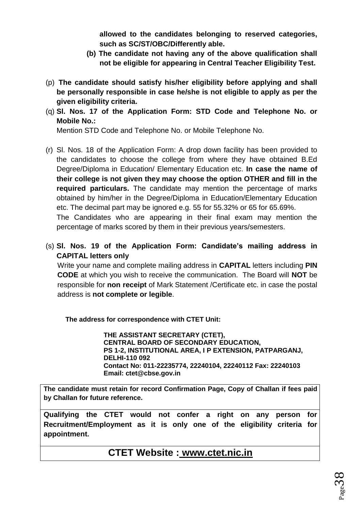**allowed to the candidates belonging to reserved categories, such as SC/ST/OBC/Differently able.**

- **(b) The candidate not having any of the above qualification shall not be eligible for appearing in Central Teacher Eligibility Test.**
- (p) **The candidate should satisfy his/her eligibility before applying and shall be personally responsible in case he/she is not eligible to apply as per the given eligibility criteria.**
- (q) **Sl. Nos. 17 of the Application Form: STD Code and Telephone No. or Mobile No.:**

Mention STD Code and Telephone No. or Mobile Telephone No.

(r) Sl. Nos. 18 of the Application Form: A drop down facility has been provided to the candidates to choose the college from where they have obtained B.Ed Degree/Diploma in Education/ Elementary Education etc. **In case the name of their college is not given they may choose the option OTHER and fill in the required particulars.** The candidate may mention the percentage of marks obtained by him/her in the Degree/Diploma in Education/Elementary Education etc. The decimal part may be ignored e.g. 55 for 55.32% or 65 for 65.69%.

The Candidates who are appearing in their final exam may mention the percentage of marks scored by them in their previous years/semesters.

(s) **Sl. Nos. 19 of the Application Form: Candidate's mailing address in CAPITAL letters only**

Write your name and complete mailing address in **CAPITAL** letters including **PIN CODE** at which you wish to receive the communication. The Board will **NOT** be responsible for **non receipt** of Mark Statement /Certificate etc. in case the postal address is **not complete or legible**.

**The address for correspondence with CTET Unit:**

**THE ASSISTANT SECRETARY (CTET), CENTRAL BOARD OF SECONDARY EDUCATION, PS 1-2, INSTITUTIONAL AREA, I P EXTENSION, PATPARGANJ, DELHI-110 092 Contact No: 011-22235774, 22240104, 22240112 Fax: 22240103 Email: ctet@cbse.gov.in**

**The candidate must retain for record Confirmation Page, Copy of Challan if fees paid by Challan for future reference.**

**Qualifying the CTET would not confer a right on any person for Recruitment/Employment as it is only one of the eligibility criteria for appointment.**

**CTET Website : [www.ctet.nic.in](http://www.ctet.nic.in/)**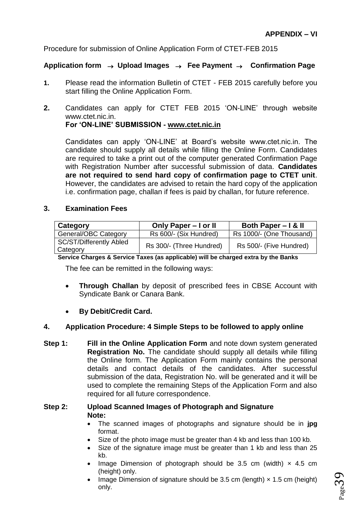Procedure for submission of Online Application Form of CTET-FEB 2015

## **Application form Upload Images Fee Payment Confirmation Page**

- **1.** Please read the information Bulletin of CTET FEB 2015 carefully before you start filling the Online Application Form.
- **2.** Candidates can apply for CTET FEB 2015 'ON-LINE' through website www.ctet.nic.in. **For 'ON-LINE' SUBMISSION - [www.ctet.nic.in](http://www.ctet.nic.in/)**

Candidates can apply 'ON-LINE' at Board's website www.ctet.nic.in. The candidate should supply all details while filling the Online Form. Candidates are required to take a print out of the computer generated Confirmation Page with Registration Number after successful submission of data. **Candidates are not required to send hard copy of confirmation page to CTET unit**. However, the candidates are advised to retain the hard copy of the application i.e. confirmation page, challan if fees is paid by challan, for future reference.

#### **3. Examination Fees**

| Category                              | Only Paper - I or II     | Both Paper – I & II      |
|---------------------------------------|--------------------------|--------------------------|
| General/OBC Category                  | Rs 600/- (Six Hundred)   | Rs 1000/- (One Thousand) |
| SC/ST/Differently Abled<br>  Category | Rs 300/- (Three Hundred) | Rs 500/- (Five Hundred)  |

**Service Charges & Service Taxes (as applicable) will be charged extra by the Banks**

The fee can be remitted in the following ways:

- **Through Challan** by deposit of prescribed fees in CBSE Account with Syndicate Bank or Canara Bank.
- **By Debit/Credit Card.**

#### **4. Application Procedure: 4 Simple Steps to be followed to apply online**

**Step 1:** Fill in the Online Application Form and note down system generated **Registration No.** The candidate should supply all details while filling the Online form. The Application Form mainly contains the personal details and contact details of the candidates. After successful submission of the data, Registration No. will be generated and it will be used to complete the remaining Steps of the Application Form and also required for all future correspondence.

#### **Step 2: Upload Scanned Images of Photograph and Signature Note:**

- The scanned images of photographs and signature should be in **jpg** format.
- Size of the photo image must be greater than 4 kb and less than 100 kb.
- Size of the signature image must be greater than 1 kb and less than 25 kb.
- Image Dimension of photograph should be 3.5 cm (width)  $\times$  4.5 cm (height) only.
- Image Dimension of signature should be 3.5 cm (length)  $\times$  1.5 cm (height) only.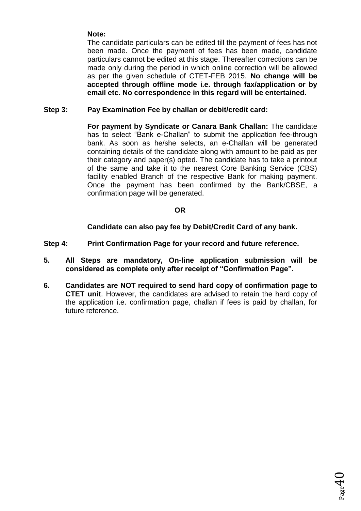# **Note:**

The candidate particulars can be edited till the payment of fees has not been made. Once the payment of fees has been made, candidate particulars cannot be edited at this stage. Thereafter corrections can be made only during the period in which online correction will be allowed as per the given schedule of CTET-FEB 2015. **No change will be accepted through offline mode i.e. through fax/application or by email etc. No correspondence in this regard will be entertained.** 

#### **Step 3: Pay Examination Fee by challan or debit/credit card:**

**For payment by Syndicate or Canara Bank Challan:** The candidate has to select "Bank e-Challan" to submit the application fee-through bank. As soon as he/she selects, an e-Challan will be generated containing details of the candidate along with amount to be paid as per their category and paper(s) opted. The candidate has to take a printout of the same and take it to the nearest Core Banking Service (CBS) facility enabled Branch of the respective Bank for making payment. Once the payment has been confirmed by the Bank/CBSE, a confirmation page will be generated.

#### **OR**

**Candidate can also pay fee by Debit/Credit Card of any bank.**

- **Step 4: Print Confirmation Page for your record and future reference.**
- **5. All Steps are mandatory, On-line application submission will be considered as complete only after receipt of "Confirmation Page".**
- **6. Candidates are NOT required to send hard copy of confirmation page to CTET unit**. However, the candidates are advised to retain the hard copy of the application i.e. confirmation page, challan if fees is paid by challan, for future reference.